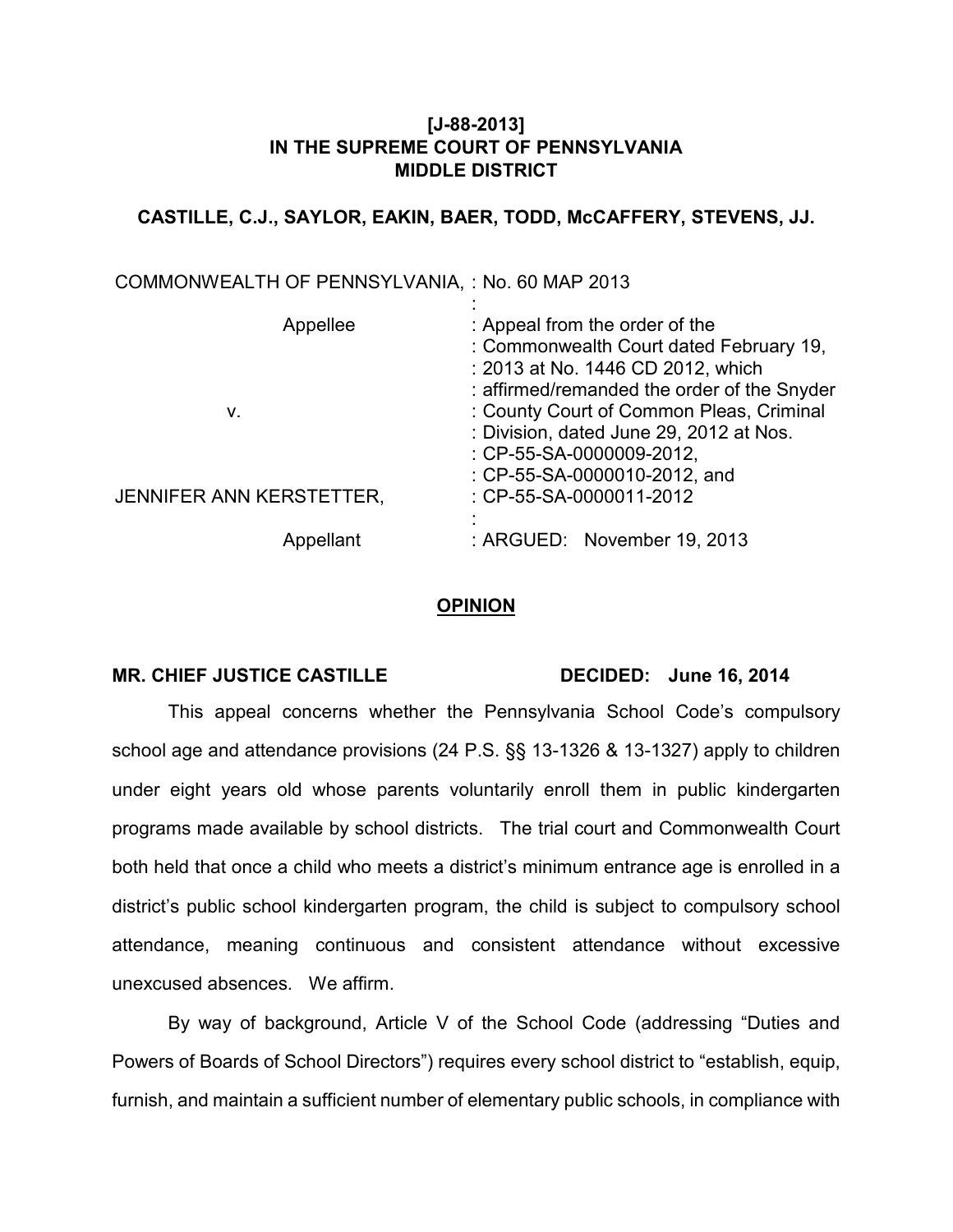# **[J-88-2013] IN THE SUPREME COURT OF PENNSYLVANIA MIDDLE DISTRICT**

## **CASTILLE, C.J., SAYLOR, EAKIN, BAER, TODD, McCAFFERY, STEVENS, JJ.**

| COMMONWEALTH OF PENNSYLVANIA, : No. 60 MAP 2013 |                                                                                                                                                               |
|-------------------------------------------------|---------------------------------------------------------------------------------------------------------------------------------------------------------------|
| Appellee                                        | : Appeal from the order of the<br>: Commonwealth Court dated February 19,<br>: 2013 at No. 1446 CD 2012, which<br>: affirmed/remanded the order of the Snyder |
| ν.                                              | : County Court of Common Pleas, Criminal<br>: Division, dated June 29, 2012 at Nos.<br>$\therefore$ CP-55-SA-0000009-2012,<br>: CP-55-SA-0000010-2012, and    |
| JENNIFER ANN KERSTETTER,                        | : CP-55-SA-0000011-2012                                                                                                                                       |
| Appellant                                       | : ARGUED: November 19, 2013                                                                                                                                   |

### **OPINION**

#### MR. CHIEF JUSTICE CASTILLE DECIDED: June 16, 2014

This appeal concerns whether the Pennsylvania School Code's compulsory school age and attendance provisions (24 P.S. §§ 13-1326 & 13-1327) apply to children under eight years old whose parents voluntarily enroll them in public kindergarten programs made available by school districts. The trial court and Commonwealth Court both held that once a child who meets a district's minimum entrance age is enrolled in a district's public school kindergarten program, the child is subject to compulsory school attendance, meaning continuous and consistent attendance without excessive unexcused absences. We affirm.

By way of background, Article V of the School Code (addressing "Duties and Powers of Boards of School Directors") requires every school district to "establish, equip, furnish, and maintain a sufficient number of elementary public schools, in compliance with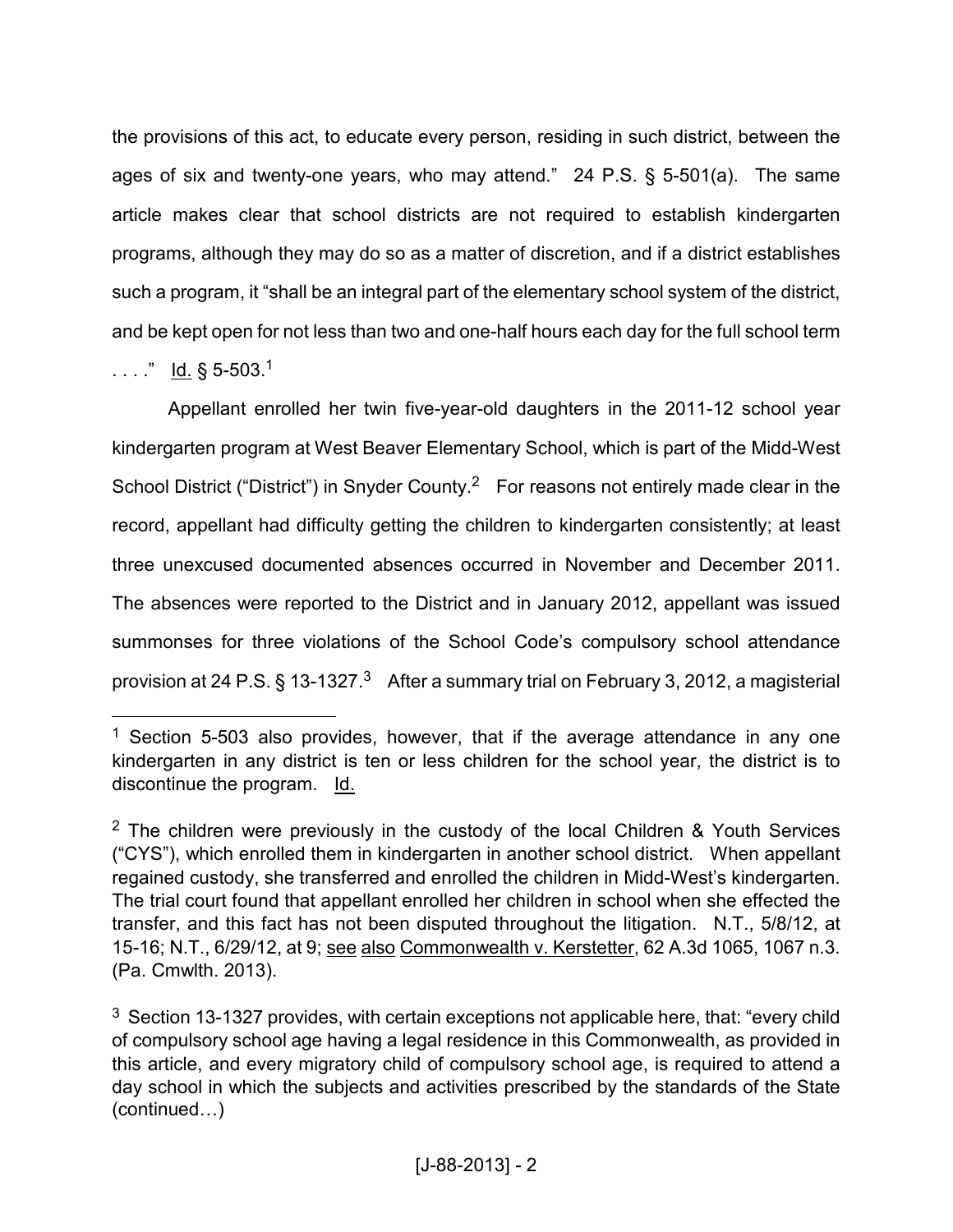the provisions of this act, to educate every person, residing in such district, between the ages of six and twenty-one years, who may attend." 24 P.S. § 5-501(a). The same article makes clear that school districts are not required to establish kindergarten programs, although they may do so as a matter of discretion, and if a district establishes such a program, it "shall be an integral part of the elementary school system of the district, and be kept open for not less than two and one-half hours each day for the full school term

. . . . " <u>Id.</u> § 5-503.<sup>1</sup>

<u>.</u>

Appellant enrolled her twin five-year-old daughters in the 2011-12 school year kindergarten program at West Beaver Elementary School, which is part of the Midd-West School District ("District") in Snyder County.<sup>2</sup> For reasons not entirely made clear in the record, appellant had difficulty getting the children to kindergarten consistently; at least three unexcused documented absences occurred in November and December 2011. The absences were reported to the District and in January 2012, appellant was issued summonses for three violations of the School Code's compulsory school attendance provision at 24 P.S.  $\S 13$ -1327.<sup>3</sup> After a summary trial on February 3, 2012, a magisterial

<sup>&</sup>lt;sup>1</sup> Section 5-503 also provides, however, that if the average attendance in any one kindergarten in any district is ten or less children for the school year, the district is to discontinue the program. Id.

 $2$  The children were previously in the custody of the local Children & Youth Services ("CYS"), which enrolled them in kindergarten in another school district. When appellant regained custody, she transferred and enrolled the children in Midd-West's kindergarten. The trial court found that appellant enrolled her children in school when she effected the transfer, and this fact has not been disputed throughout the litigation. N.T., 5/8/12, at 15-16; N.T., 6/29/12, at 9; see also Commonwealth v. Kerstetter, 62 A.3d 1065, 1067 n.3. (Pa. Cmwlth. 2013).

 $3$  Section 13-1327 provides, with certain exceptions not applicable here, that: "every child of compulsory school age having a legal residence in this Commonwealth, as provided in this article, and every migratory child of compulsory school age, is required to attend a day school in which the subjects and activities prescribed by the standards of the State  $(continued...)$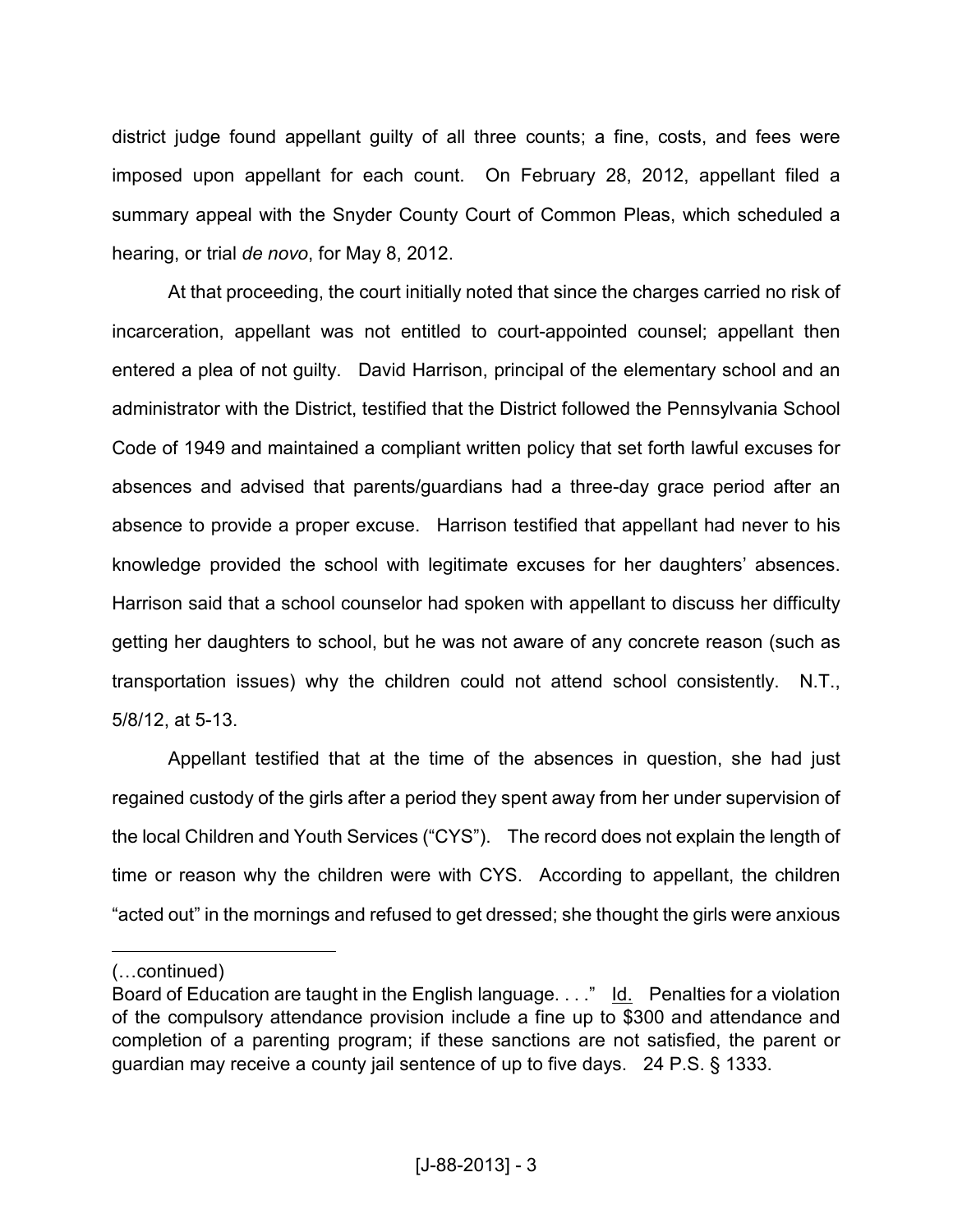district judge found appellant guilty of all three counts; a fine, costs, and fees were imposed upon appellant for each count. On February 28, 2012, appellant filed a summary appeal with the Snyder County Court of Common Pleas, which scheduled a hearing, or trial *de novo*, for May 8, 2012.

At that proceeding, the court initially noted that since the charges carried no risk of incarceration, appellant was not entitled to court-appointed counsel; appellant then entered a plea of not guilty. David Harrison, principal of the elementary school and an administrator with the District, testified that the District followed the Pennsylvania School Code of 1949 and maintained a compliant written policy that set forth lawful excuses for absences and advised that parents/guardians had a three-day grace period after an absence to provide a proper excuse. Harrison testified that appellant had never to his knowledge provided the school with legitimate excuses for her daughters' absences. Harrison said that a school counselor had spoken with appellant to discuss her difficulty getting her daughters to school, but he was not aware of any concrete reason (such as transportation issues) why the children could not attend school consistently. N.T., 5/8/12, at 5-13.

Appellant testified that at the time of the absences in question, she had just regained custody of the girls after a period they spent away from her under supervision of the local Children and Youth Services ("CYS"). The record does not explain the length of time or reason why the children were with CYS. According to appellant, the children "acted out" in the mornings and refused to get dressed; she thought the girls were anxious

 $\overline{a}$ 

<sup>(...</sup>continued)

Board of Education are taught in the English language. . . ." Id. Penalties for a violation of the compulsory attendance provision include a fine up to \$300 and attendance and completion of a parenting program; if these sanctions are not satisfied, the parent or guardian may receive a county jail sentence of up to five days. 24 P.S. § 1333.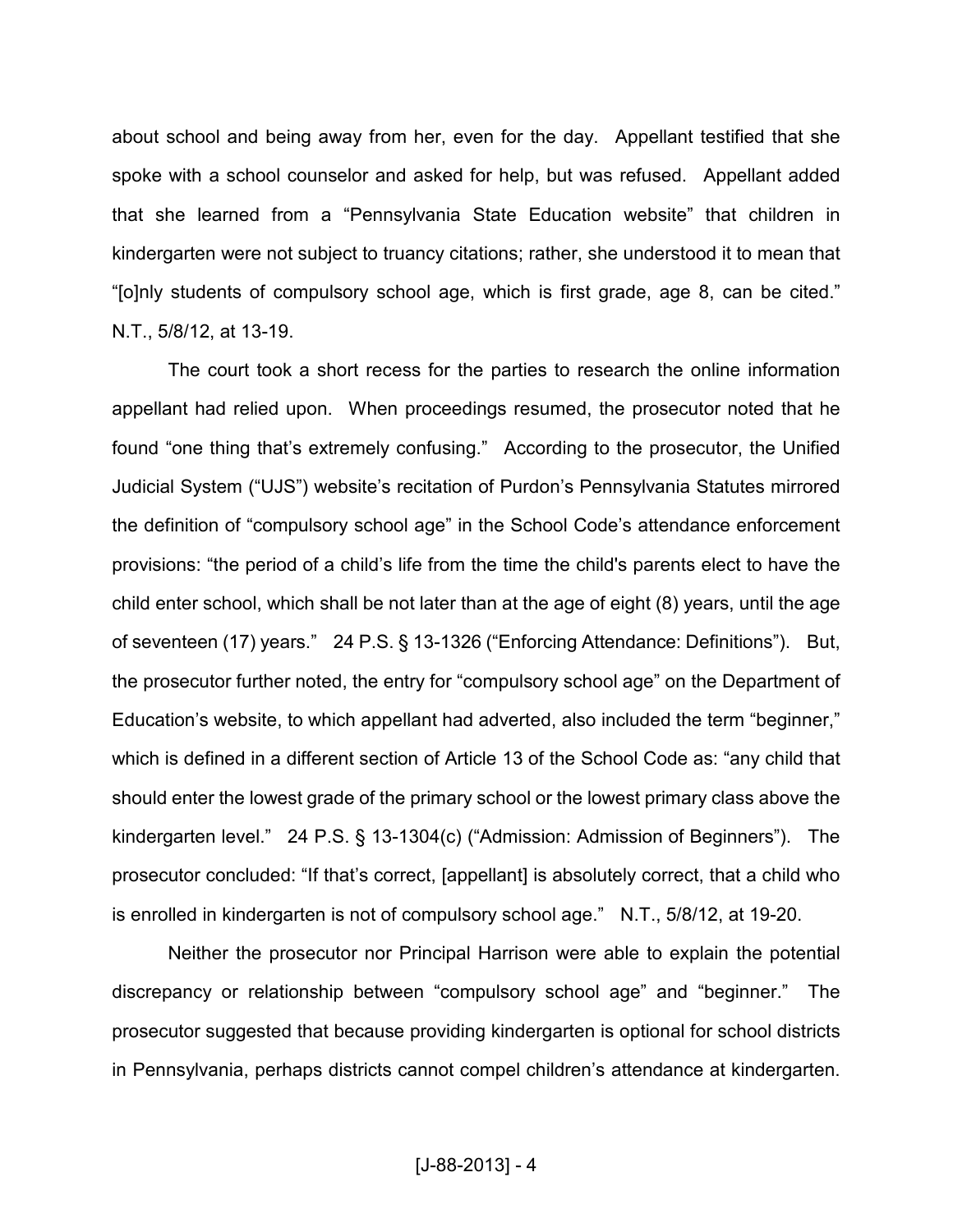about school and being away from her, even for the day. Appellant testified that she spoke with a school counselor and asked for help, but was refused. Appellant added that she learned from a "Pennsylvania State Education website" that children in kindergarten were not subject to truancy citations; rather, she understood it to mean that "[o]nly students of compulsory school age, which is first grade, age 8, can be cited." N.T., 5/8/12, at 13-19.

The court took a short recess for the parties to research the online information appellant had relied upon. When proceedings resumed, the prosecutor noted that he found "one thing that's extremely confusing." According to the prosecutor, the Unified Judicial System ("UJS") website's recitation of Purdon's Pennsylvania Statutes mirrored the definition of "compulsory school age" in the School Code's attendance enforcement provisions: "the period of a child's life from the time the child's parents elect to have the child enter school, which shall be not later than at the age of eight (8) years, until the age of seventeen (17) years." 24 P.S. § 13-1326 ("Enforcing Attendance: Definitions"). But, the prosecutor further noted, the entry for "compulsory school age" on the Department of Education's website, to which appellant had adverted, also included the term "beginner," which is defined in a different section of Article 13 of the School Code as: "any child that should enter the lowest grade of the primary school or the lowest primary class above the kindergarten level." 24 P.S. § 13-1304(c) ("Admission: Admission of Beginners"). The prosecutor concluded: "If that's correct, [appellant] is absolutely correct, that a child who is enrolled in kindergarten is not of compulsory school age." N.T., 5/8/12, at 19-20.

Neither the prosecutor nor Principal Harrison were able to explain the potential discrepancy or relationship between "compulsory school age" and "beginner." The prosecutor suggested that because providing kindergarten is optional for school districts in Pennsylvania, perhaps districts cannot compel children's attendance at kindergarten.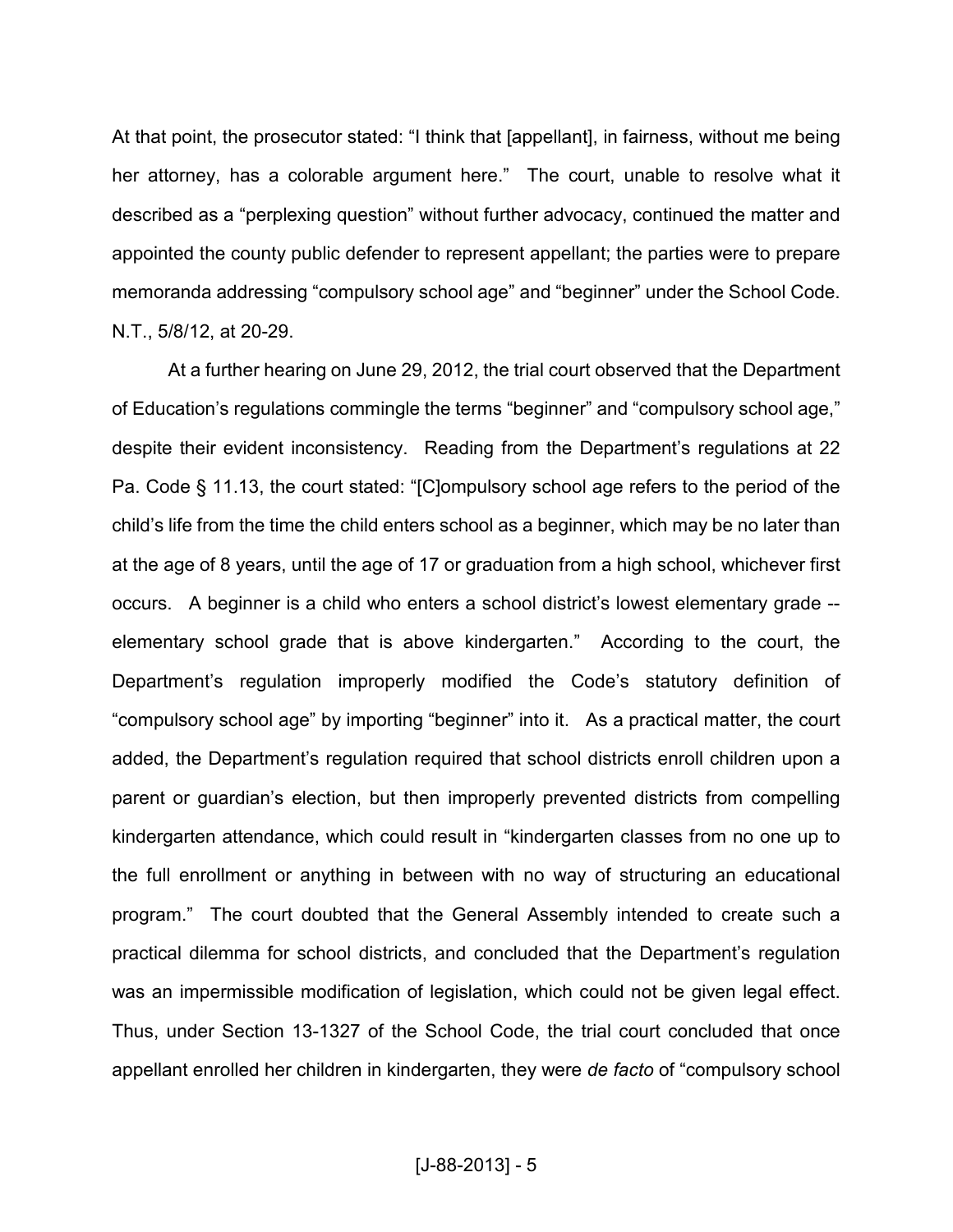At that point, the prosecutor stated: "I think that [appellant], in fairness, without me being her attorney, has a colorable argument here." The court, unable to resolve what it described as a "perplexing question" without further advocacy, continued the matter and appointed the county public defender to represent appellant; the parties were to prepare memoranda addressing "compulsory school age" and "beginner" under the School Code. N.T., 5/8/12, at 20-29.

At a further hearing on June 29, 2012, the trial court observed that the Department of Education's regulations commingle the terms "beginner" and "compulsory school age," despite their evident inconsistency. Reading from the Department's regulations at 22 Pa. Code § 11.13, the court stated: "[C]ompulsory school age refers to the period of the child's life from the time the child enters school as a beginner, which may be no later than at the age of 8 years, until the age of 17 or graduation from a high school, whichever first occurs. A beginner is a child who enters a school district's lowest elementary grade - elementary school grade that is above kindergarten." According to the court, the Department's regulation improperly modified the Code's statutory definition of "compulsory school age" by importing "beginner" into it. As a practical matter, the court added, the Department's regulation required that school districts enroll children upon a parent or guardian's election, but then improperly prevented districts from compelling kindergarten attendance, which could result in "kindergarten classes from no one up to the full enrollment or anything in between with no way of structuring an educational program." The court doubted that the General Assembly intended to create such a practical dilemma for school districts, and concluded that the Department's regulation was an impermissible modification of legislation, which could not be given legal effect. Thus, under Section 13-1327 of the School Code, the trial court concluded that once appellant enrolled her children in kindergarten, they were *de facto* of "compulsory school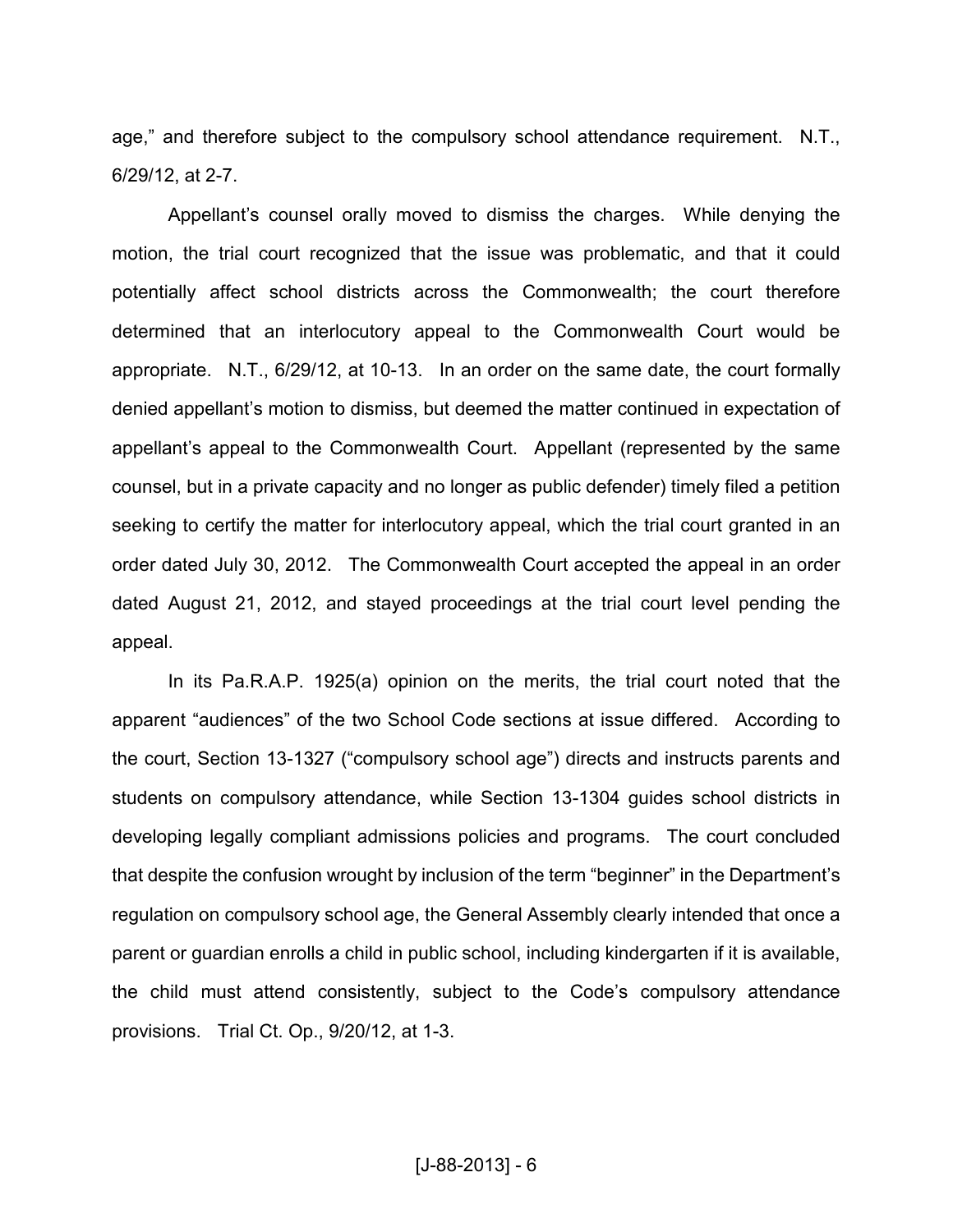age," and therefore subject to the compulsory school attendance requirement. N.T., 6/29/12, at 2-7.

Appellant's counsel orally moved to dismiss the charges. While denying the motion, the trial court recognized that the issue was problematic, and that it could potentially affect school districts across the Commonwealth; the court therefore determined that an interlocutory appeal to the Commonwealth Court would be appropriate. N.T., 6/29/12, at 10-13. In an order on the same date, the court formally denied appellant's motion to dismiss, but deemed the matter continued in expectation of appellant's appeal to the Commonwealth Court. Appellant (represented by the same counsel, but in a private capacity and no longer as public defender) timely filed a petition seeking to certify the matter for interlocutory appeal, which the trial court granted in an order dated July 30, 2012. The Commonwealth Court accepted the appeal in an order dated August 21, 2012, and stayed proceedings at the trial court level pending the appeal.

In its Pa.R.A.P. 1925(a) opinion on the merits, the trial court noted that the apparent "audiences" of the two School Code sections at issue differed. According to the court, Section 13-1327 ("compulsory school age") directs and instructs parents and students on compulsory attendance, while Section 13-1304 guides school districts in developing legally compliant admissions policies and programs. The court concluded that despite the confusion wrought by inclusion of the term "beginner" in the Department's regulation on compulsory school age, the General Assembly clearly intended that once a parent or guardian enrolls a child in public school, including kindergarten if it is available, the child must attend consistently, subject to the Code's compulsory attendance provisions. Trial Ct. Op., 9/20/12, at 1-3.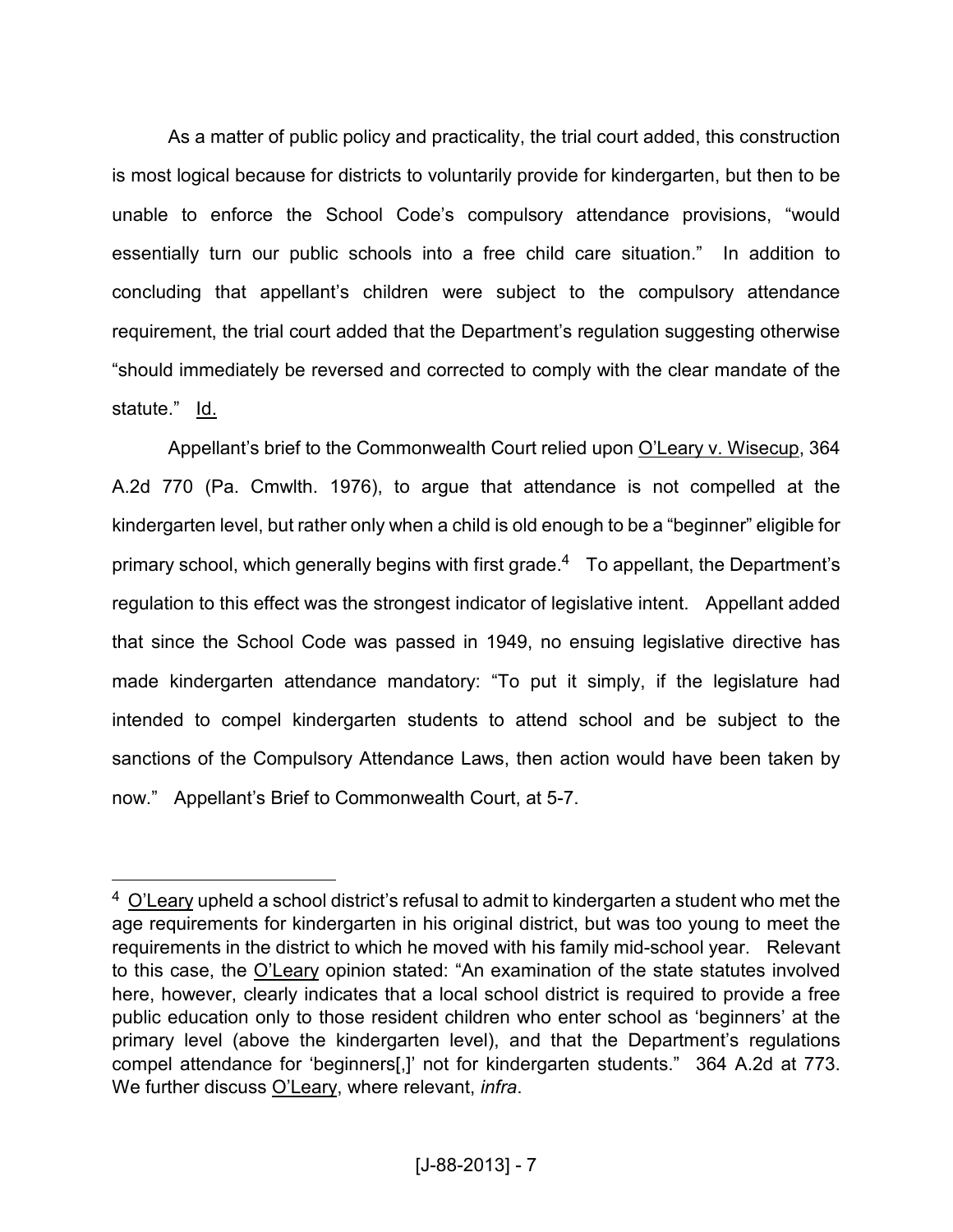As a matter of public policy and practicality, the trial court added, this construction is most logical because for districts to voluntarily provide for kindergarten, but then to be unable to enforce the School Code's compulsory attendance provisions, "would essentially turn our public schools into a free child care situation." In addition to concluding that appellant's children were subject to the compulsory attendance requirement, the trial court added that the Department's regulation suggesting otherwise "should immediately be reversed and corrected to comply with the clear mandate of the statute." Id.

Appellant's brief to the Commonwealth Court relied upon O'Leary v. Wisecup, 364 A.2d 770 (Pa. Cmwlth. 1976), to argue that attendance is not compelled at the kindergarten level, but rather only when a child is old enough to be a "beginner" eligible for primary school, which generally begins with first grade.<sup>4</sup> To appellant, the Department's regulation to this effect was the strongest indicator of legislative intent. Appellant added that since the School Code was passed in 1949, no ensuing legislative directive has made kindergarten attendance mandatory: "To put it simply, if the legislature had intended to compel kindergarten students to attend school and be subject to the sanctions of the Compulsory Attendance Laws, then action would have been taken by now." Appellant's Brief to Commonwealth Court, at 5-7.

<u>.</u>

 $4$  O'Leary upheld a school district's refusal to admit to kindergarten a student who met the age requirements for kindergarten in his original district, but was too young to meet the requirements in the district to which he moved with his family mid-school year. Relevant to this case, the O'Leary opinion stated: "An examination of the state statutes involved here, however, clearly indicates that a local school district is required to provide a free public education only to those resident children who enter school as 'beginners' at the primary level (above the kindergarten level), and that the Department's regulations compel attendance for 'beginners[,]' not for kindergarten students." 364 A.2d at 773. We further discuss O'Leary, where relevant, *infra*.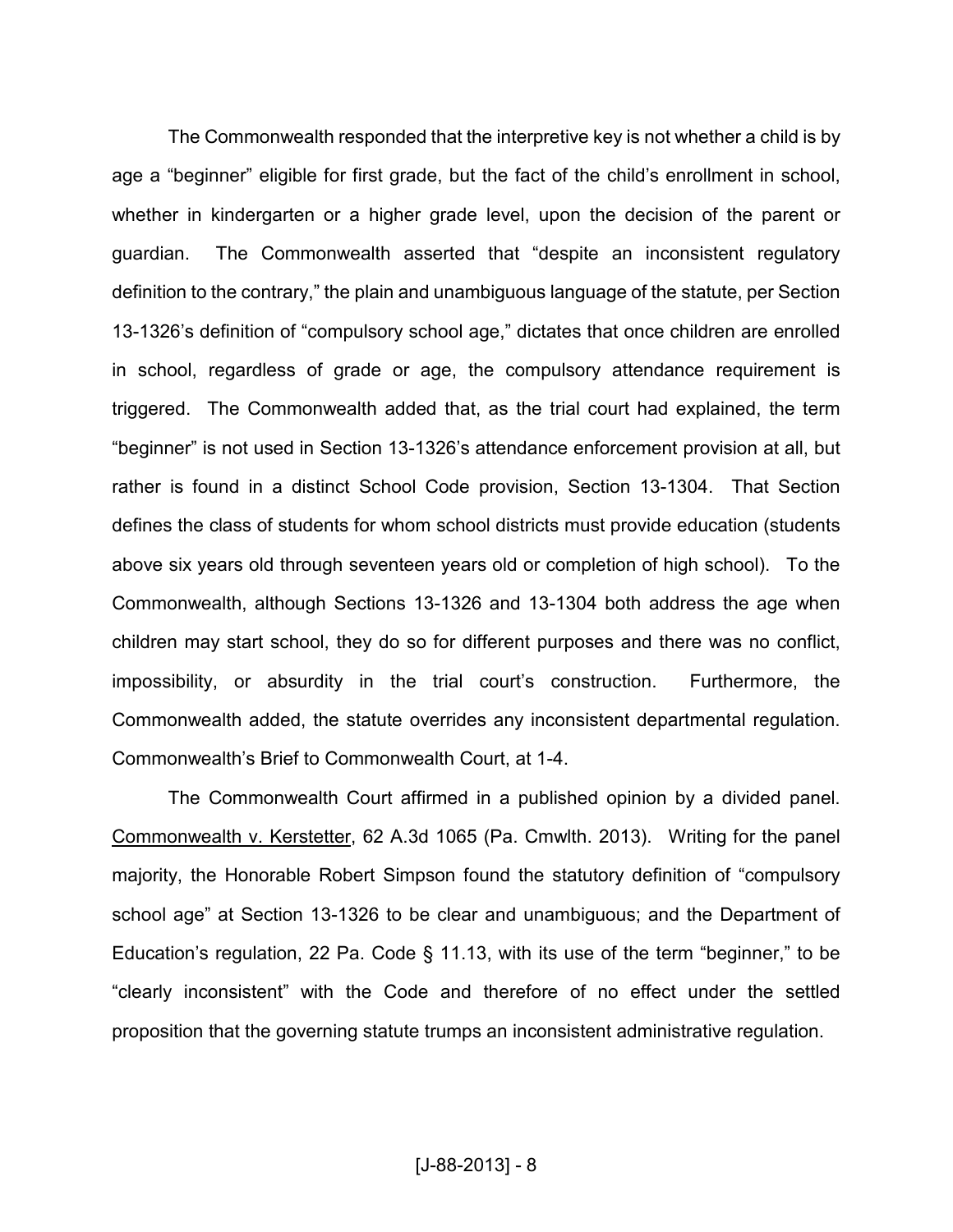The Commonwealth responded that the interpretive key is not whether a child is by age a "beginner" eligible for first grade, but the fact of the child's enrollment in school, whether in kindergarten or a higher grade level, upon the decision of the parent or guardian. The Commonwealth asserted that "despite an inconsistent regulatory definition to the contrary," the plain and unambiguous language of the statute, per Section 13-1326's definition of "compulsory school age," dictates that once children are enrolled in school, regardless of grade or age, the compulsory attendance requirement is triggered. The Commonwealth added that, as the trial court had explained, the term "beginner" is not used in Section 13-1326's attendance enforcement provision at all, but rather is found in a distinct School Code provision, Section 13-1304. That Section defines the class of students for whom school districts must provide education (students above six years old through seventeen years old or completion of high school). To the Commonwealth, although Sections 13-1326 and 13-1304 both address the age when children may start school, they do so for different purposes and there was no conflict, impossibility, or absurdity in the trial court's construction. Furthermore, the Commonwealth added, the statute overrides any inconsistent departmental regulation. Commonwealth's Brief to Commonwealth Court, at 1-4.

The Commonwealth Court affirmed in a published opinion by a divided panel. Commonwealth v. Kerstetter, 62 A.3d 1065 (Pa. Cmwlth. 2013). Writing for the panel majority, the Honorable Robert Simpson found the statutory definition of "compulsory school age" at Section 13-1326 to be clear and unambiguous; and the Department of Education's regulation, 22 Pa. Code § 11.13, with its use of the term "beginner," to be "clearly inconsistent" with the Code and therefore of no effect under the settled proposition that the governing statute trumps an inconsistent administrative regulation.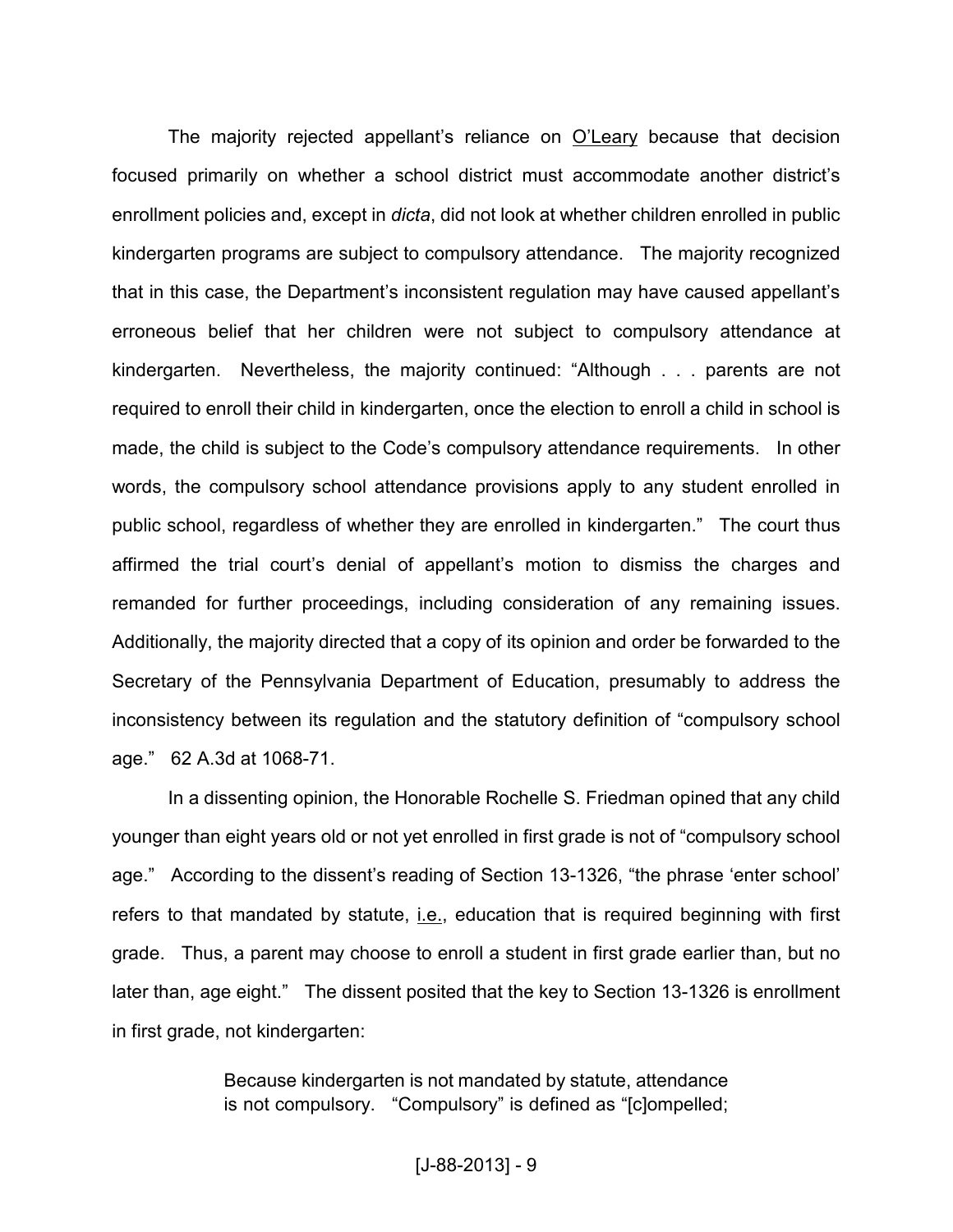The majority rejected appellant's reliance on O'Leary because that decision focused primarily on whether a school district must accommodate another district's enrollment policies and, except in *dicta*, did not look at whether children enrolled in public kindergarten programs are subject to compulsory attendance. The majority recognized that in this case, the Department's inconsistent regulation may have caused appellant's erroneous belief that her children were not subject to compulsory attendance at kindergarten. Nevertheless, the majority continued: "Although . . . parents are not required to enroll their child in kindergarten, once the election to enroll a child in school is made, the child is subject to the Code's compulsory attendance requirements. In other words, the compulsory school attendance provisions apply to any student enrolled in public school, regardless of whether they are enrolled in kindergarten." The court thus affirmed the trial court's denial of appellant's motion to dismiss the charges and remanded for further proceedings, including consideration of any remaining issues. Additionally, the majority directed that a copy of its opinion and order be forwarded to the Secretary of the Pennsylvania Department of Education, presumably to address the inconsistency between its regulation and the statutory definition of "compulsory school age." 62 A.3d at 1068-71.

In a dissenting opinion, the Honorable Rochelle S. Friedman opined that any child younger than eight years old or not yet enrolled in first grade is not of "compulsory school age." According to the dissent's reading of Section 13-1326, "the phrase 'enter school' refers to that mandated by statute, i.e., education that is required beginning with first grade. Thus, a parent may choose to enroll a student in first grade earlier than, but no later than, age eight." The dissent posited that the key to Section 13-1326 is enrollment in first grade, not kindergarten:

> Because kindergarten is not mandated by statute, attendance is not compulsory. "Compulsory" is defined as "[c]ompelled;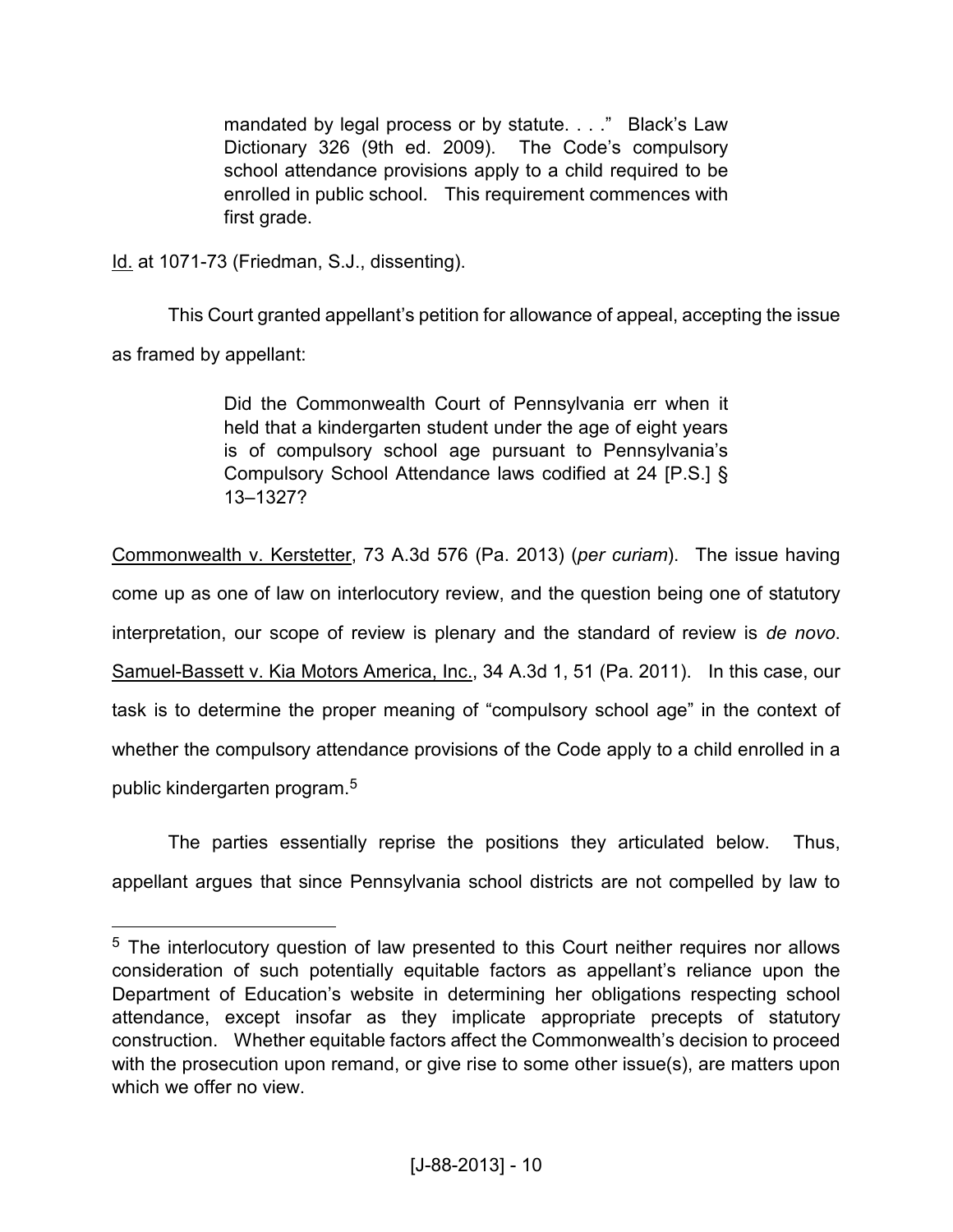mandated by legal process or by statute. . . ." Black's Law Dictionary 326 (9th ed. 2009). The Code's compulsory school attendance provisions apply to a child required to be enrolled in public school. This requirement commences with first grade.

Id. at 1071-73 (Friedman, S.J., dissenting).

 $\overline{a}$ 

This Court granted appellant's petition for allowance of appeal, accepting the issue as framed by appellant:

> Did the Commonwealth Court of Pennsylvania err when it held that a kindergarten student under the age of eight years is of compulsory school age pursuant to Pennsylvania's Compulsory School Attendance laws codified at 24 [P.S.] § 13–1327?

Commonwealth v. Kerstetter, 73 A.3d 576 (Pa. 2013) (*per curiam*). The issue having come up as one of law on interlocutory review, and the question being one of statutory interpretation, our scope of review is plenary and the standard of review is *de novo*. Samuel-Bassett v. Kia Motors America, Inc., 34 A.3d 1, 51 (Pa. 2011). In this case, our task is to determine the proper meaning of "compulsory school age" in the context of whether the compulsory attendance provisions of the Code apply to a child enrolled in a public kindergarten program.<sup>5</sup>

The parties essentially reprise the positions they articulated below. Thus, appellant argues that since Pennsylvania school districts are not compelled by law to

<sup>&</sup>lt;sup>5</sup> The interlocutory question of law presented to this Court neither requires nor allows consideration of such potentially equitable factors as appellant's reliance upon the Department of Education's website in determining her obligations respecting school attendance, except insofar as they implicate appropriate precepts of statutory construction. Whether equitable factors affect the Commonwealth's decision to proceed with the prosecution upon remand, or give rise to some other issue(s), are matters upon which we offer no view.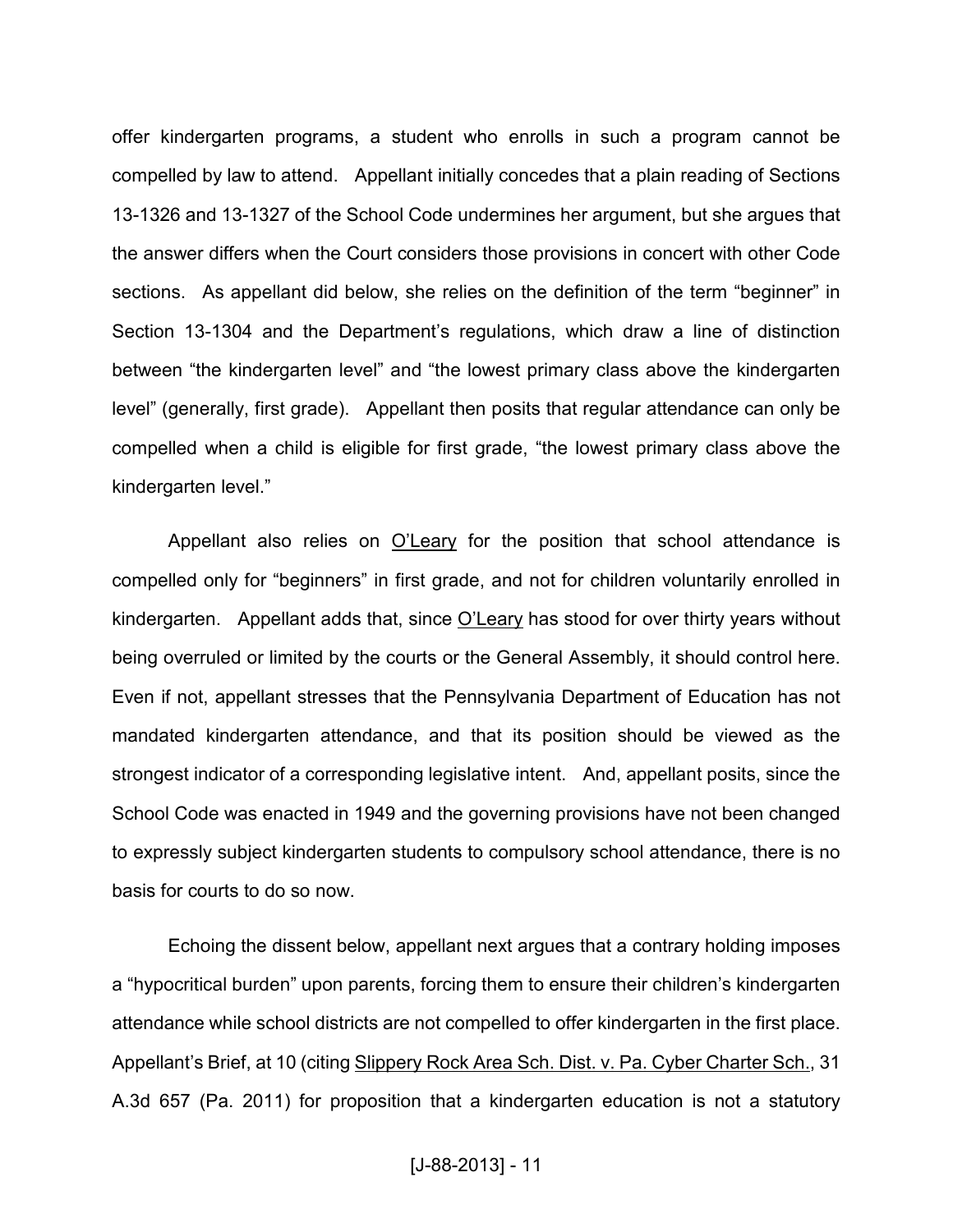offer kindergarten programs, a student who enrolls in such a program cannot be compelled by law to attend. Appellant initially concedes that a plain reading of Sections 13-1326 and 13-1327 of the School Code undermines her argument, but she argues that the answer differs when the Court considers those provisions in concert with other Code sections. As appellant did below, she relies on the definition of the term "beginner" in Section 13-1304 and the Department's regulations, which draw a line of distinction between "the kindergarten level" and "the lowest primary class above the kindergarten level" (generally, first grade). Appellant then posits that regular attendance can only be compelled when a child is eligible for first grade, "the lowest primary class above the kindergarten level."

Appellant also relies on O'Leary for the position that school attendance is compelled only for "beginners" in first grade, and not for children voluntarily enrolled in kindergarten. Appellant adds that, since O'Leary has stood for over thirty years without being overruled or limited by the courts or the General Assembly, it should control here. Even if not, appellant stresses that the Pennsylvania Department of Education has not mandated kindergarten attendance, and that its position should be viewed as the strongest indicator of a corresponding legislative intent. And, appellant posits, since the School Code was enacted in 1949 and the governing provisions have not been changed to expressly subject kindergarten students to compulsory school attendance, there is no basis for courts to do so now.

Echoing the dissent below, appellant next argues that a contrary holding imposes a "hypocritical burden" upon parents, forcing them to ensure their children's kindergarten attendance while school districts are not compelled to offer kindergarten in the first place. Appellant's Brief, at 10 (citing Slippery Rock Area Sch. Dist. v. Pa. Cyber Charter Sch., 31 A.3d 657 (Pa. 2011) for proposition that a kindergarten education is not a statutory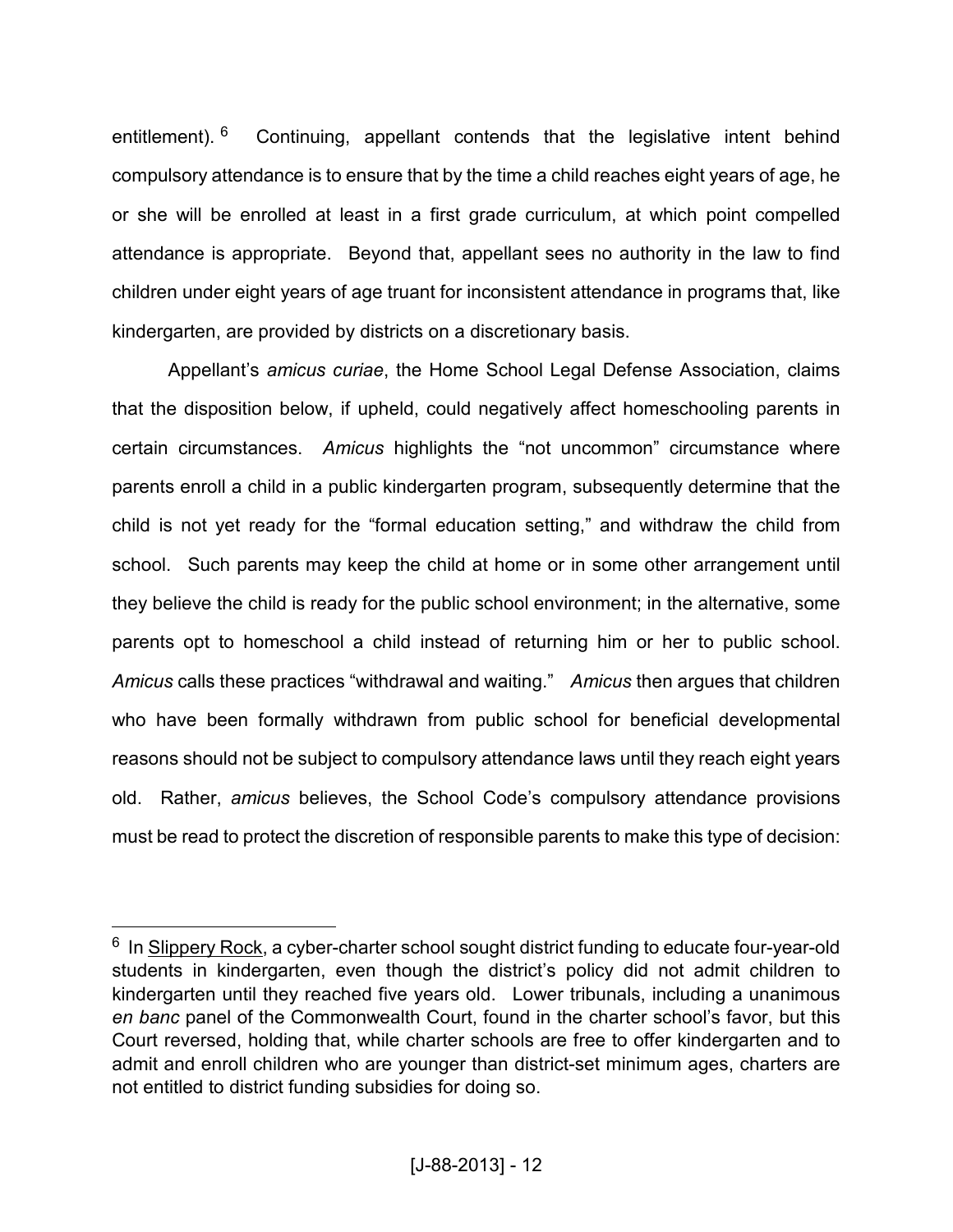entitlement). <sup>6</sup> Continuing, appellant contends that the legislative intent behind compulsory attendance is to ensure that by the time a child reaches eight years of age, he or she will be enrolled at least in a first grade curriculum, at which point compelled attendance is appropriate. Beyond that, appellant sees no authority in the law to find children under eight years of age truant for inconsistent attendance in programs that, like kindergarten, are provided by districts on a discretionary basis.

Appellant's *amicus curiae*, the Home School Legal Defense Association, claims that the disposition below, if upheld, could negatively affect homeschooling parents in certain circumstances. *Amicus* highlights the "not uncommon" circumstance where parents enroll a child in a public kindergarten program, subsequently determine that the child is not yet ready for the "formal education setting," and withdraw the child from school. Such parents may keep the child at home or in some other arrangement until they believe the child is ready for the public school environment; in the alternative, some parents opt to homeschool a child instead of returning him or her to public school. *Amicus* calls these practices "withdrawal and waiting." *Amicus* then argues that children who have been formally withdrawn from public school for beneficial developmental reasons should not be subject to compulsory attendance laws until they reach eight years old. Rather, *amicus* believes, the School Code's compulsory attendance provisions must be read to protect the discretion of responsible parents to make this type of decision:

<u>.</u>

<sup>&</sup>lt;sup>6</sup> In Slippery Rock, a cyber-charter school sought district funding to educate four-year-old students in kindergarten, even though the district's policy did not admit children to kindergarten until they reached five years old. Lower tribunals, including a unanimous *en banc* panel of the Commonwealth Court, found in the charter school's favor, but this Court reversed, holding that, while charter schools are free to offer kindergarten and to admit and enroll children who are younger than district-set minimum ages, charters are not entitled to district funding subsidies for doing so.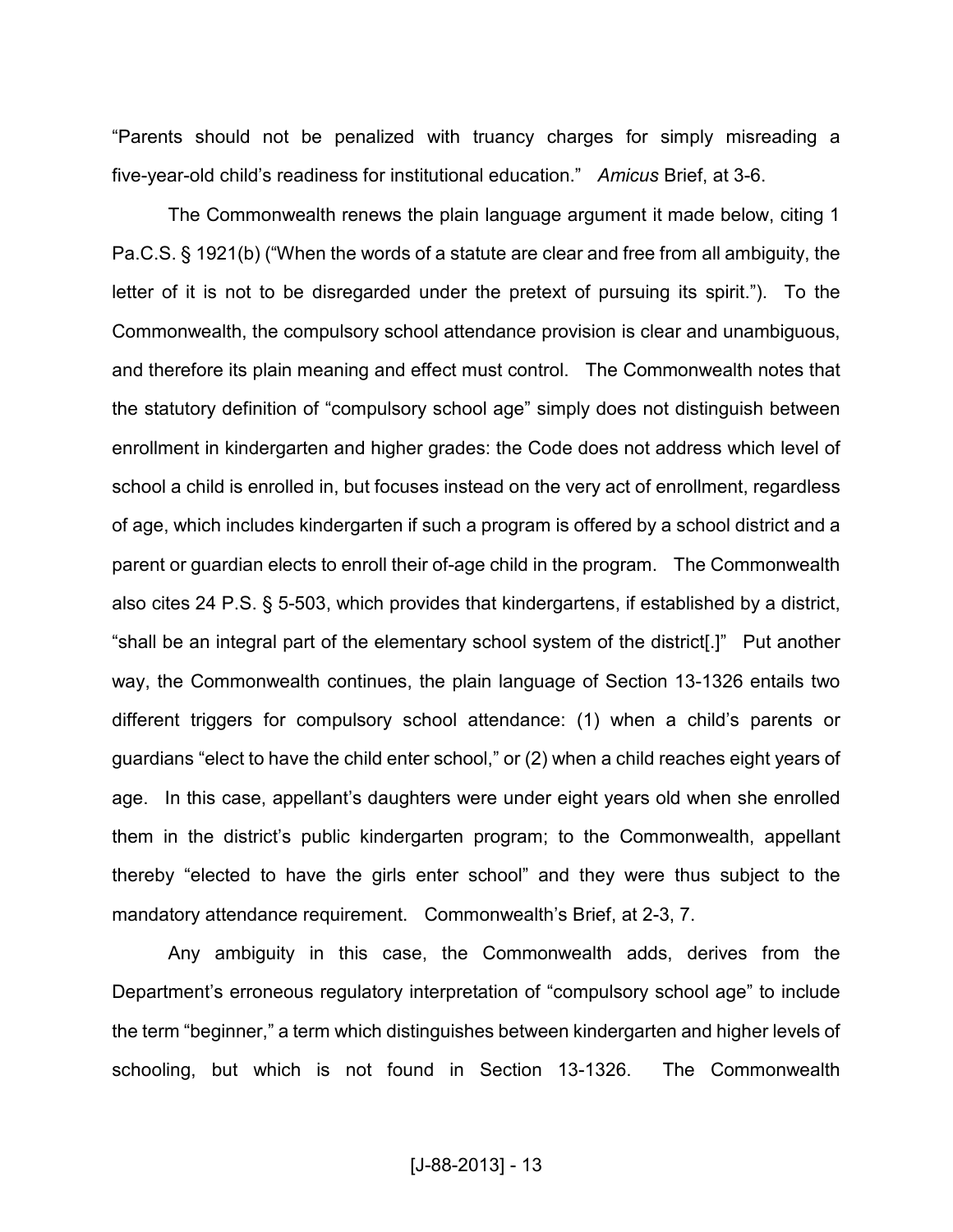"Parents should not be penalized with truancy charges for simply misreading a five-year-old child's readiness for institutional education." *Amicus* Brief, at 3-6.

The Commonwealth renews the plain language argument it made below, citing 1 Pa.C.S. § 1921(b) ("When the words of a statute are clear and free from all ambiguity, the letter of it is not to be disregarded under the pretext of pursuing its spirit."). To the Commonwealth, the compulsory school attendance provision is clear and unambiguous, and therefore its plain meaning and effect must control. The Commonwealth notes that the statutory definition of "compulsory school age" simply does not distinguish between enrollment in kindergarten and higher grades: the Code does not address which level of school a child is enrolled in, but focuses instead on the very act of enrollment, regardless of age, which includes kindergarten if such a program is offered by a school district and a parent or guardian elects to enroll their of-age child in the program. The Commonwealth also cites 24 P.S. § 5-503, which provides that kindergartens, if established by a district, "shall be an integral part of the elementary school system of the district[.]" Put another way, the Commonwealth continues, the plain language of Section 13-1326 entails two different triggers for compulsory school attendance: (1) when a child's parents or guardians "elect to have the child enter school," or (2) when a child reaches eight years of age. In this case, appellant's daughters were under eight years old when she enrolled them in the district's public kindergarten program; to the Commonwealth, appellant thereby "elected to have the girls enter school" and they were thus subject to the mandatory attendance requirement. Commonwealth's Brief, at 2-3, 7.

Any ambiguity in this case, the Commonwealth adds, derives from the Department's erroneous regulatory interpretation of "compulsory school age" to include the term "beginner," a term which distinguishes between kindergarten and higher levels of schooling, but which is not found in Section 13-1326. The Commonwealth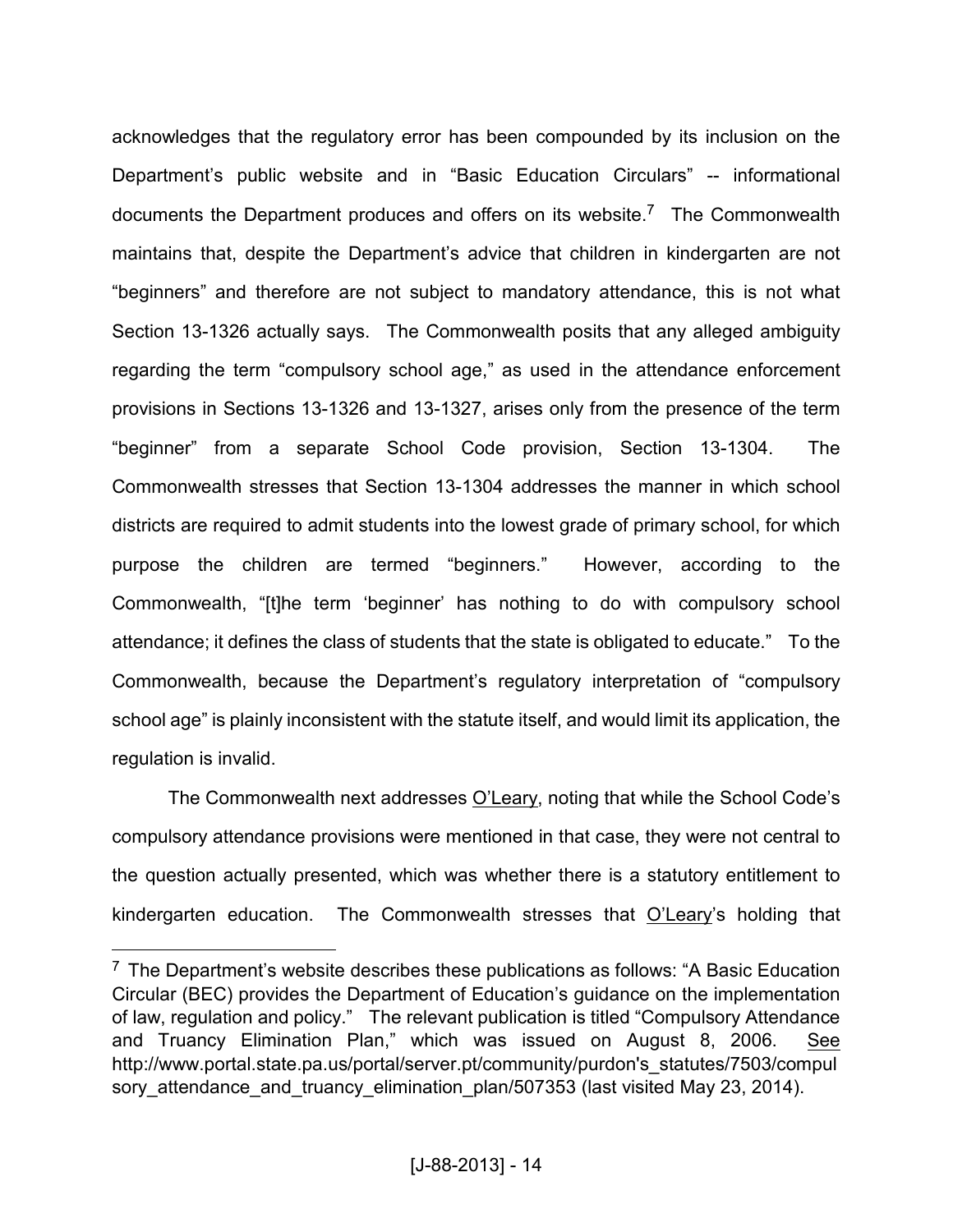acknowledges that the regulatory error has been compounded by its inclusion on the Department's public website and in "Basic Education Circulars" -- informational documents the Department produces and offers on its website.<sup>7</sup> The Commonwealth maintains that, despite the Department's advice that children in kindergarten are not "beginners" and therefore are not subject to mandatory attendance, this is not what Section 13-1326 actually says. The Commonwealth posits that any alleged ambiguity regarding the term "compulsory school age," as used in the attendance enforcement provisions in Sections 13-1326 and 13-1327, arises only from the presence of the term "beginner" from a separate School Code provision, Section 13-1304. The Commonwealth stresses that Section 13-1304 addresses the manner in which school districts are required to admit students into the lowest grade of primary school, for which purpose the children are termed "beginners." However, according to the Commonwealth, "[t]he term 'beginner' has nothing to do with compulsory school attendance; it defines the class of students that the state is obligated to educate." To the Commonwealth, because the Department's regulatory interpretation of "compulsory school age" is plainly inconsistent with the statute itself, and would limit its application, the regulation is invalid.

The Commonwealth next addresses O'Leary, noting that while the School Code's compulsory attendance provisions were mentioned in that case, they were not central to the question actually presented, which was whether there is a statutory entitlement to kindergarten education. The Commonwealth stresses that O'Leary's holding that

 $\overline{a}$ 

<sup>&</sup>lt;sup>7</sup> The Department's website describes these publications as follows: "A Basic Education Circular (BEC) provides the Department of Education's guidance on the implementation of law, regulation and policy." The relevant publication is titled "Compulsory Attendance and Truancy Elimination Plan," which was issued on August 8, 2006. See http://www.portal.state.pa.us/portal/server.pt/community/purdon's\_statutes/7503/compul sory attendance and truancy elimination plan/507353 (last visited May 23, 2014).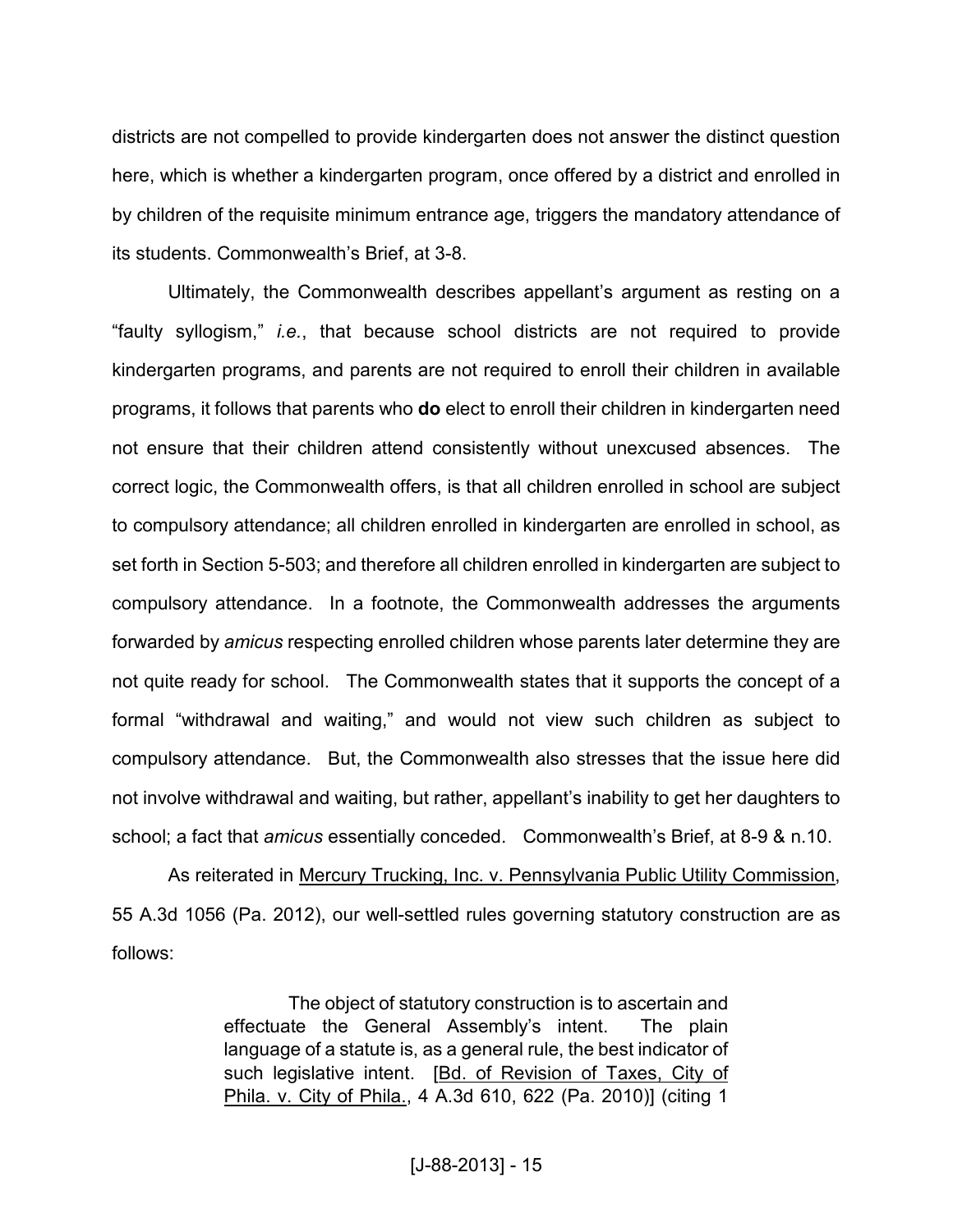districts are not compelled to provide kindergarten does not answer the distinct question here, which is whether a kindergarten program, once offered by a district and enrolled in by children of the requisite minimum entrance age, triggers the mandatory attendance of its students. Commonwealth's Brief, at 3-8.

Ultimately, the Commonwealth describes appellant's argument as resting on a "faulty syllogism," *i.e.*, that because school districts are not required to provide kindergarten programs, and parents are not required to enroll their children in available programs, it follows that parents who **do** elect to enroll their children in kindergarten need not ensure that their children attend consistently without unexcused absences. The correct logic, the Commonwealth offers, is that all children enrolled in school are subject to compulsory attendance; all children enrolled in kindergarten are enrolled in school, as set forth in Section 5-503; and therefore all children enrolled in kindergarten are subject to compulsory attendance. In a footnote, the Commonwealth addresses the arguments forwarded by *amicus* respecting enrolled children whose parents later determine they are not quite ready for school. The Commonwealth states that it supports the concept of a formal "withdrawal and waiting," and would not view such children as subject to compulsory attendance. But, the Commonwealth also stresses that the issue here did not involve withdrawal and waiting, but rather, appellant's inability to get her daughters to school; a fact that *amicus* essentially conceded. Commonwealth's Brief, at 8-9 & n.10.

As reiterated in Mercury Trucking, Inc. v. Pennsylvania Public Utility Commission, 55 A.3d 1056 (Pa. 2012), our well-settled rules governing statutory construction are as follows:

> The object of statutory construction is to ascertain and effectuate the General Assembly's intent. The plain language of a statute is, as a general rule, the best indicator of such legislative intent. [Bd. of Revision of Taxes, City of Phila. v. City of Phila., 4 A.3d 610, 622 (Pa. 2010)] (citing 1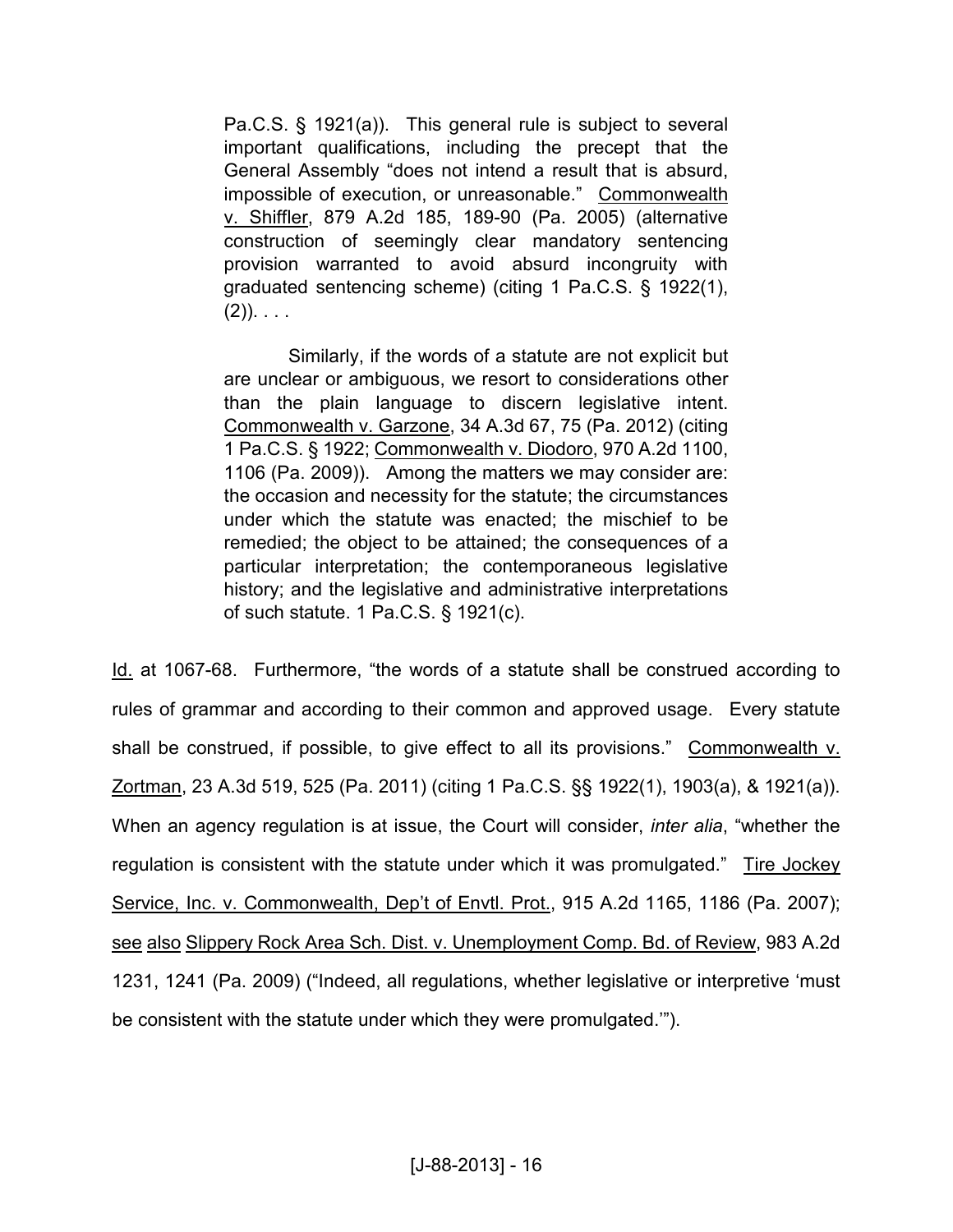Pa.C.S. § 1921(a)). This general rule is subject to several important qualifications, including the precept that the General Assembly "does not intend a result that is absurd, impossible of execution, or unreasonable." Commonwealth v. Shiffler, 879 A.2d 185, 189-90 (Pa. 2005) (alternative construction of seemingly clear mandatory sentencing provision warranted to avoid absurd incongruity with graduated sentencing scheme) (citing 1 Pa.C.S. § 1922(1),  $(2)$ ). . . .

Similarly, if the words of a statute are not explicit but are unclear or ambiguous, we resort to considerations other than the plain language to discern legislative intent. Commonwealth v. Garzone, 34 A.3d 67, 75 (Pa. 2012) (citing 1 Pa.C.S. § 1922; Commonwealth v. Diodoro, 970 A.2d 1100, 1106 (Pa. 2009)). Among the matters we may consider are: the occasion and necessity for the statute; the circumstances under which the statute was enacted; the mischief to be remedied; the object to be attained; the consequences of a particular interpretation; the contemporaneous legislative history; and the legislative and administrative interpretations of such statute. 1 Pa.C.S. § 1921(c).

Id. at 1067-68. Furthermore, "the words of a statute shall be construed according to rules of grammar and according to their common and approved usage. Every statute shall be construed, if possible, to give effect to all its provisions." Commonwealth v. Zortman, 23 A.3d 519, 525 (Pa. 2011) (citing 1 Pa.C.S. §§ 1922(1), 1903(a), & 1921(a)). When an agency regulation is at issue, the Court will consider, *inter alia*, "whether the regulation is consistent with the statute under which it was promulgated." Tire Jockey Service, Inc. v. Commonwealth, Dep't of Envtl. Prot., 915 A.2d 1165, 1186 (Pa. 2007); see also Slippery Rock Area Sch. Dist. v. Unemployment Comp. Bd. of Review, 983 A.2d 1231, 1241 (Pa. 2009) ("Indeed, all regulations, whether legislative or interpretive 'must be consistent with the statute under which they were promulgated.'").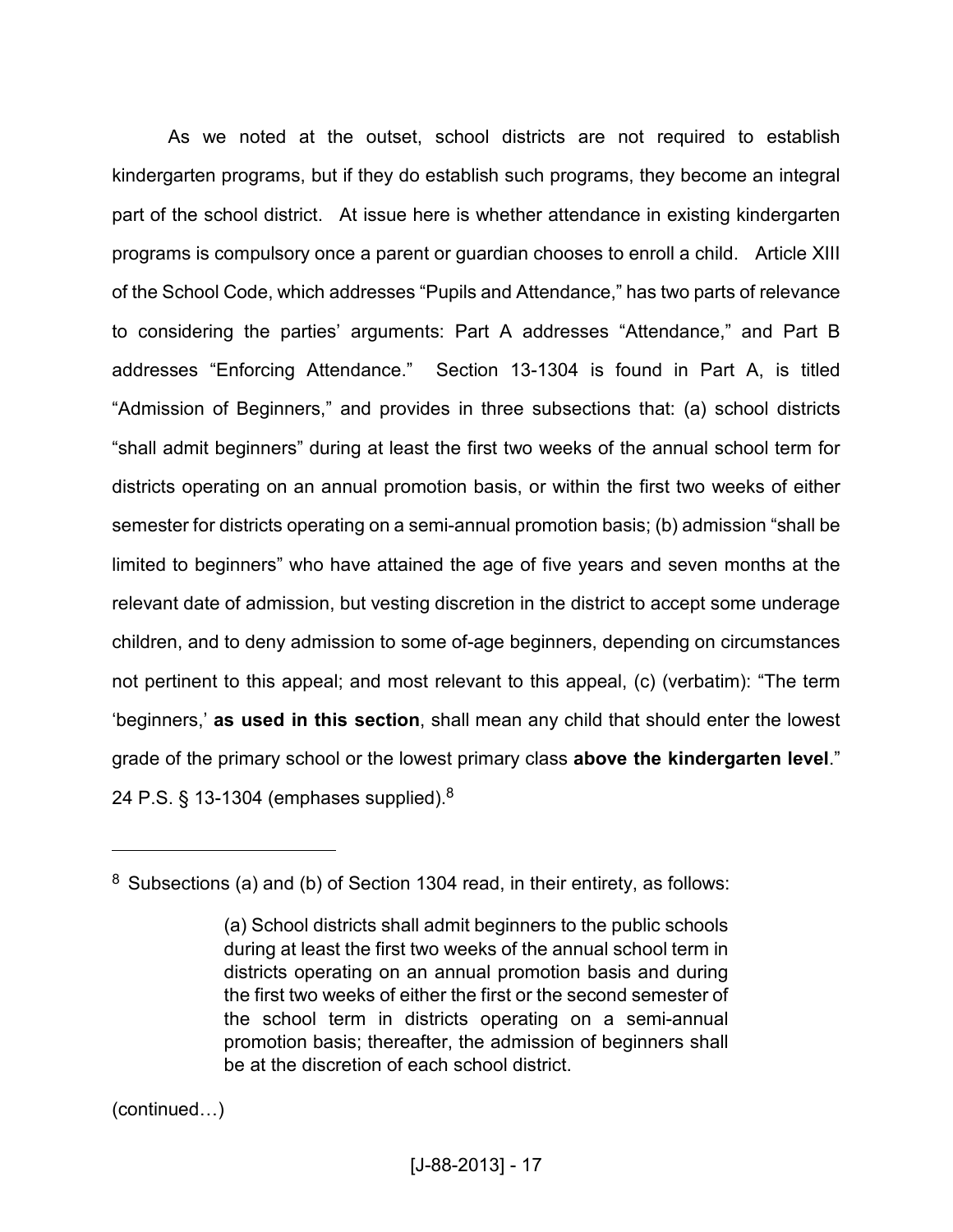As we noted at the outset, school districts are not required to establish kindergarten programs, but if they do establish such programs, they become an integral part of the school district. At issue here is whether attendance in existing kindergarten programs is compulsory once a parent or guardian chooses to enroll a child. Article XIII of the School Code, which addresses "Pupils and Attendance," has two parts of relevance to considering the parties' arguments: Part A addresses "Attendance," and Part B addresses "Enforcing Attendance." Section 13-1304 is found in Part A, is titled "Admission of Beginners," and provides in three subsections that: (a) school districts "shall admit beginners" during at least the first two weeks of the annual school term for districts operating on an annual promotion basis, or within the first two weeks of either semester for districts operating on a semi-annual promotion basis; (b) admission "shall be limited to beginners" who have attained the age of five years and seven months at the relevant date of admission, but vesting discretion in the district to accept some underage children, and to deny admission to some of-age beginners, depending on circumstances not pertinent to this appeal; and most relevant to this appeal, (c) (verbatim): "The term 'beginners,' **as used in this section**, shall mean any child that should enter the lowest grade of the primary school or the lowest primary class **above the kindergarten level**." 24 P.S. § 13-1304 (emphases supplied). $8$ 

 $(continued...)$ 

<u>.</u>

 $8$  Subsections (a) and (b) of Section 1304 read, in their entirety, as follows:

<sup>(</sup>a) School districts shall admit beginners to the public schools during at least the first two weeks of the annual school term in districts operating on an annual promotion basis and during the first two weeks of either the first or the second semester of the school term in districts operating on a semi-annual promotion basis; thereafter, the admission of beginners shall be at the discretion of each school district.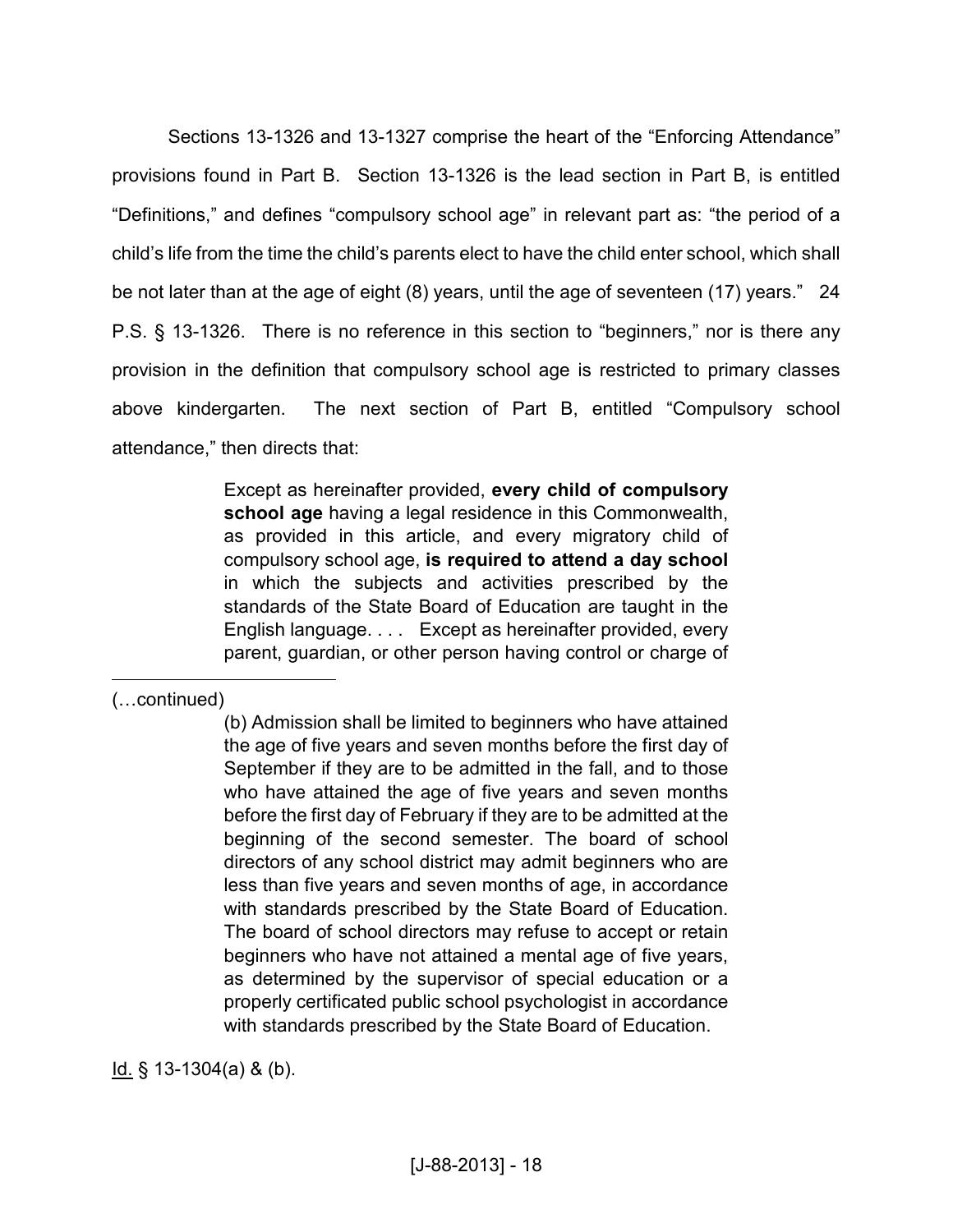Sections 13-1326 and 13-1327 comprise the heart of the "Enforcing Attendance" provisions found in Part B. Section 13-1326 is the lead section in Part B, is entitled "Definitions," and defines "compulsory school age" in relevant part as: "the period of a child's life from the time the child's parents elect to have the child enter school, which shall be not later than at the age of eight (8) years, until the age of seventeen (17) years." 24 P.S. § 13-1326. There is no reference in this section to "beginners," nor is there any provision in the definition that compulsory school age is restricted to primary classes above kindergarten. The next section of Part B, entitled "Compulsory school attendance," then directs that:

> Except as hereinafter provided, **every child of compulsory school age** having a legal residence in this Commonwealth, as provided in this article, and every migratory child of compulsory school age, **is required to attend a day school** in which the subjects and activities prescribed by the standards of the State Board of Education are taught in the English language. . . . Except as hereinafter provided, every parent, guardian, or other person having control or charge of

 $(...$ continued)

 $\overline{a}$ 

(b) Admission shall be limited to beginners who have attained the age of five years and seven months before the first day of September if they are to be admitted in the fall, and to those who have attained the age of five years and seven months before the first day of February if they are to be admitted at the beginning of the second semester. The board of school directors of any school district may admit beginners who are less than five years and seven months of age, in accordance with standards prescribed by the State Board of Education. The board of school directors may refuse to accept or retain beginners who have not attained a mental age of five years, as determined by the supervisor of special education or a properly certificated public school psychologist in accordance with standards prescribed by the State Board of Education.

Id. § 13-1304(a) & (b).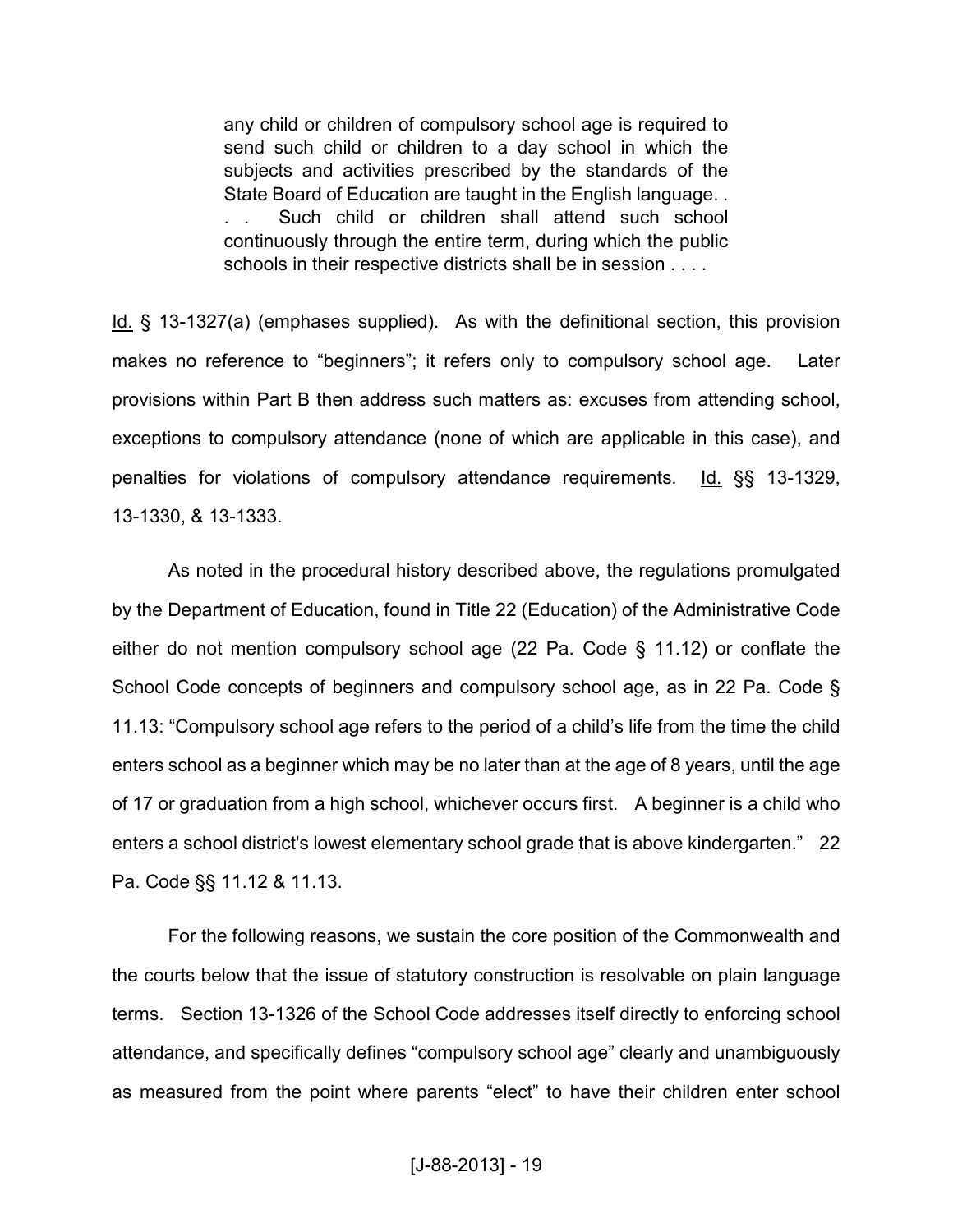any child or children of compulsory school age is required to send such child or children to a day school in which the subjects and activities prescribed by the standards of the State Board of Education are taught in the English language. . . . Such child or children shall attend such school continuously through the entire term, during which the public schools in their respective districts shall be in session . . . .

Id. § 13-1327(a) (emphases supplied). As with the definitional section, this provision makes no reference to "beginners"; it refers only to compulsory school age. Later provisions within Part B then address such matters as: excuses from attending school, exceptions to compulsory attendance (none of which are applicable in this case), and penalties for violations of compulsory attendance requirements. Id. §§ 13-1329, 13-1330, & 13-1333.

As noted in the procedural history described above, the regulations promulgated by the Department of Education, found in Title 22 (Education) of the Administrative Code either do not mention compulsory school age (22 Pa. Code § 11.12) or conflate the School Code concepts of beginners and compulsory school age, as in 22 Pa. Code § 11.13: "Compulsory school age refers to the period of a child's life from the time the child enters school as a beginner which may be no later than at the age of 8 years, until the age of 17 or graduation from a high school, whichever occurs first. A beginner is a child who enters a school district's lowest elementary school grade that is above kindergarten." 22 Pa. Code §§ 11.12 & 11.13.

For the following reasons, we sustain the core position of the Commonwealth and the courts below that the issue of statutory construction is resolvable on plain language terms. Section 13-1326 of the School Code addresses itself directly to enforcing school attendance, and specifically defines "compulsory school age" clearly and unambiguously as measured from the point where parents "elect" to have their children enter school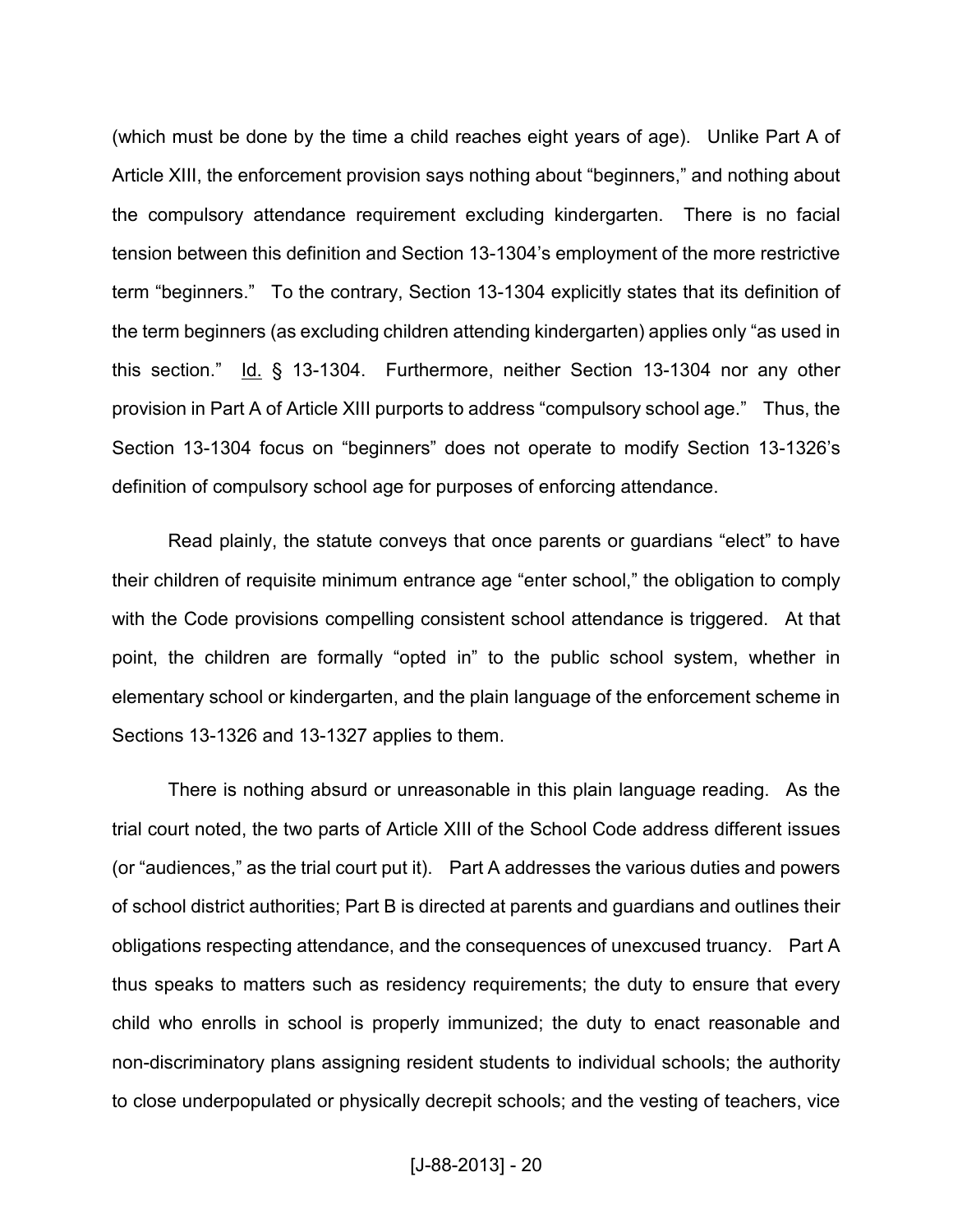(which must be done by the time a child reaches eight years of age). Unlike Part A of Article XIII, the enforcement provision says nothing about "beginners," and nothing about the compulsory attendance requirement excluding kindergarten. There is no facial tension between this definition and Section 13-1304's employment of the more restrictive term "beginners." To the contrary, Section 13-1304 explicitly states that its definition of the term beginners (as excluding children attending kindergarten) applies only "as used in this section." Id. § 13-1304. Furthermore, neither Section 13-1304 nor any other provision in Part A of Article XIII purports to address "compulsory school age." Thus, the Section 13-1304 focus on "beginners" does not operate to modify Section 13-1326's definition of compulsory school age for purposes of enforcing attendance.

Read plainly, the statute conveys that once parents or guardians "elect" to have their children of requisite minimum entrance age "enter school," the obligation to comply with the Code provisions compelling consistent school attendance is triggered. At that point, the children are formally "opted in" to the public school system, whether in elementary school or kindergarten, and the plain language of the enforcement scheme in Sections 13-1326 and 13-1327 applies to them.

There is nothing absurd or unreasonable in this plain language reading. As the trial court noted, the two parts of Article XIII of the School Code address different issues (or "audiences," as the trial court put it). Part A addresses the various duties and powers of school district authorities; Part B is directed at parents and guardians and outlines their obligations respecting attendance, and the consequences of unexcused truancy. Part A thus speaks to matters such as residency requirements; the duty to ensure that every child who enrolls in school is properly immunized; the duty to enact reasonable and non-discriminatory plans assigning resident students to individual schools; the authority to close underpopulated or physically decrepit schools; and the vesting of teachers, vice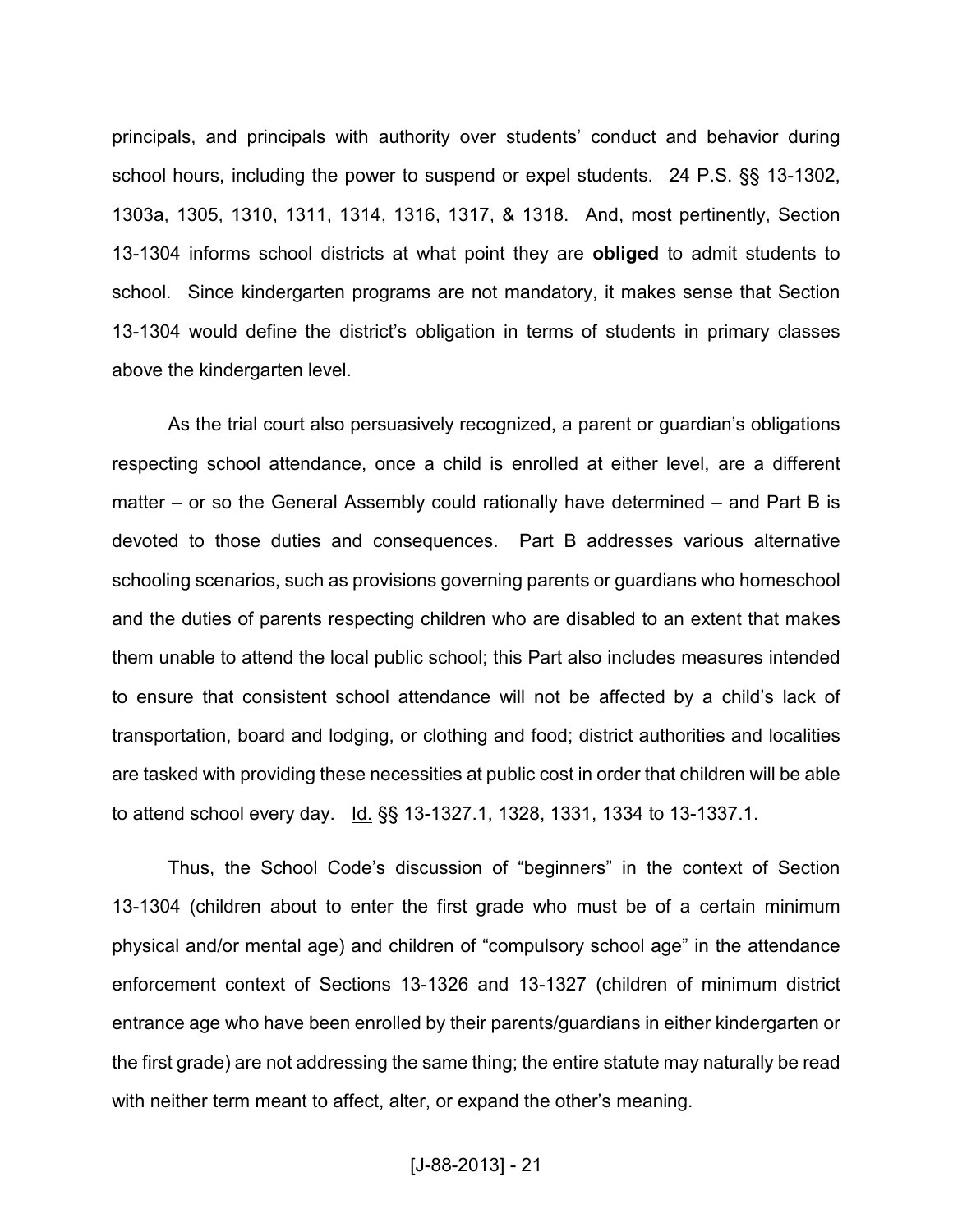principals, and principals with authority over students' conduct and behavior during school hours, including the power to suspend or expel students. 24 P.S. §§ 13-1302, 1303a, 1305, 1310, 1311, 1314, 1316, 1317, & 1318. And, most pertinently, Section 13-1304 informs school districts at what point they are **obliged** to admit students to school. Since kindergarten programs are not mandatory, it makes sense that Section 13-1304 would define the district's obligation in terms of students in primary classes above the kindergarten level.

As the trial court also persuasively recognized, a parent or guardian's obligations respecting school attendance, once a child is enrolled at either level, are a different matter – or so the General Assembly could rationally have determined – and Part B is devoted to those duties and consequences. Part B addresses various alternative schooling scenarios, such as provisions governing parents or guardians who homeschool and the duties of parents respecting children who are disabled to an extent that makes them unable to attend the local public school; this Part also includes measures intended to ensure that consistent school attendance will not be affected by a child's lack of transportation, board and lodging, or clothing and food; district authorities and localities are tasked with providing these necessities at public cost in order that children will be able to attend school every day. Id. §§ 13-1327.1, 1328, 1331, 1334 to 13-1337.1.

Thus, the School Code's discussion of "beginners" in the context of Section 13-1304 (children about to enter the first grade who must be of a certain minimum physical and/or mental age) and children of "compulsory school age" in the attendance enforcement context of Sections 13-1326 and 13-1327 (children of minimum district entrance age who have been enrolled by their parents/guardians in either kindergarten or the first grade) are not addressing the same thing; the entire statute may naturally be read with neither term meant to affect, alter, or expand the other's meaning.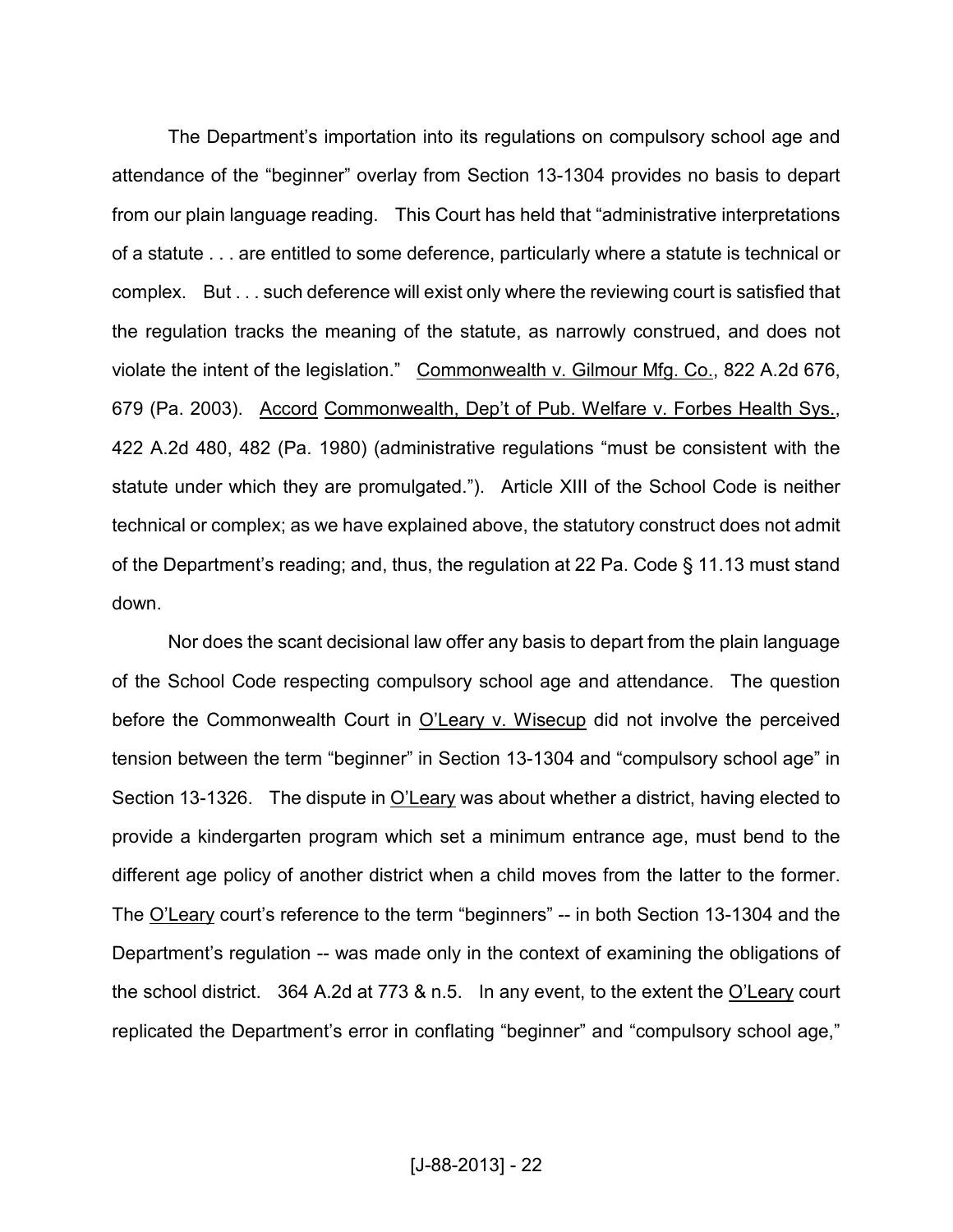The Department's importation into its regulations on compulsory school age and attendance of the "beginner" overlay from Section 13-1304 provides no basis to depart from our plain language reading. This Court has held that "administrative interpretations of a statute . . . are entitled to some deference, particularly where a statute is technical or complex. But . . . such deference will exist only where the reviewing court is satisfied that the regulation tracks the meaning of the statute, as narrowly construed, and does not violate the intent of the legislation." Commonwealth v. Gilmour Mfg. Co., 822 A.2d 676, 679 (Pa. 2003). Accord Commonwealth, Dep't of Pub. Welfare v. Forbes Health Sys., 422 A.2d 480, 482 (Pa. 1980) (administrative regulations "must be consistent with the statute under which they are promulgated."). Article XIII of the School Code is neither technical or complex; as we have explained above, the statutory construct does not admit of the Department's reading; and, thus, the regulation at 22 Pa. Code § 11.13 must stand down.

Nor does the scant decisional law offer any basis to depart from the plain language of the School Code respecting compulsory school age and attendance. The question before the Commonwealth Court in O'Leary v. Wisecup did not involve the perceived tension between the term "beginner" in Section 13-1304 and "compulsory school age" in Section 13-1326. The dispute in O'Leary was about whether a district, having elected to provide a kindergarten program which set a minimum entrance age, must bend to the different age policy of another district when a child moves from the latter to the former. The O'Leary court's reference to the term "beginners" -- in both Section 13-1304 and the Department's regulation -- was made only in the context of examining the obligations of the school district. 364 A.2d at 773 & n.5. In any event, to the extent the  $O'$ Leary court replicated the Department's error in conflating "beginner" and "compulsory school age,"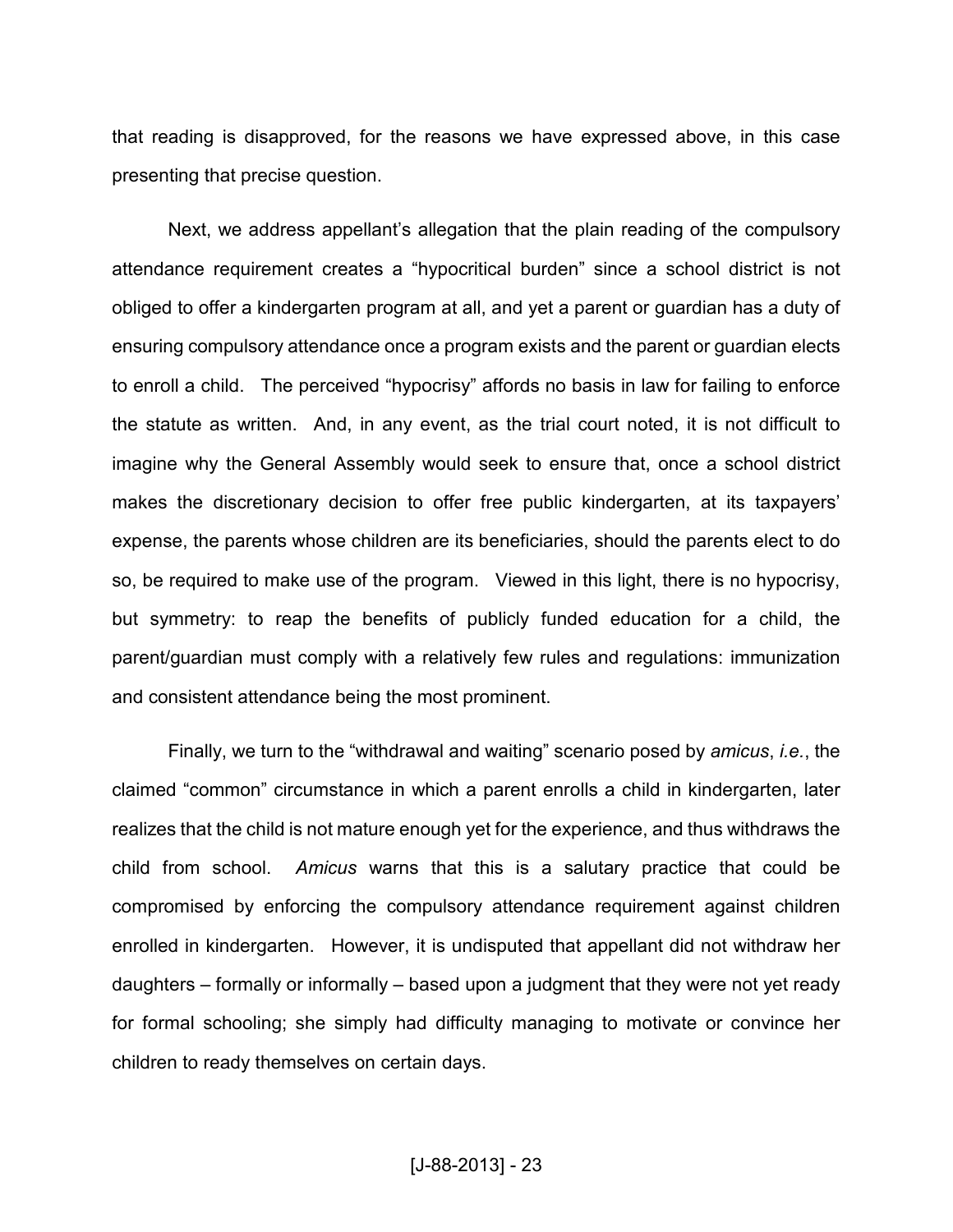that reading is disapproved, for the reasons we have expressed above, in this case presenting that precise question.

Next, we address appellant's allegation that the plain reading of the compulsory attendance requirement creates a "hypocritical burden" since a school district is not obliged to offer a kindergarten program at all, and yet a parent or guardian has a duty of ensuring compulsory attendance once a program exists and the parent or guardian elects to enroll a child. The perceived "hypocrisy" affords no basis in law for failing to enforce the statute as written. And, in any event, as the trial court noted, it is not difficult to imagine why the General Assembly would seek to ensure that, once a school district makes the discretionary decision to offer free public kindergarten, at its taxpayers' expense, the parents whose children are its beneficiaries, should the parents elect to do so, be required to make use of the program. Viewed in this light, there is no hypocrisy, but symmetry: to reap the benefits of publicly funded education for a child, the parent/guardian must comply with a relatively few rules and regulations: immunization and consistent attendance being the most prominent.

Finally, we turn to the "withdrawal and waiting" scenario posed by *amicus*, *i.e.*, the claimed "common" circumstance in which a parent enrolls a child in kindergarten, later realizes that the child is not mature enough yet for the experience, and thus withdraws the child from school. *Amicus* warns that this is a salutary practice that could be compromised by enforcing the compulsory attendance requirement against children enrolled in kindergarten. However, it is undisputed that appellant did not withdraw her daughters – formally or informally – based upon a judgment that they were not yet ready for formal schooling; she simply had difficulty managing to motivate or convince her children to ready themselves on certain days.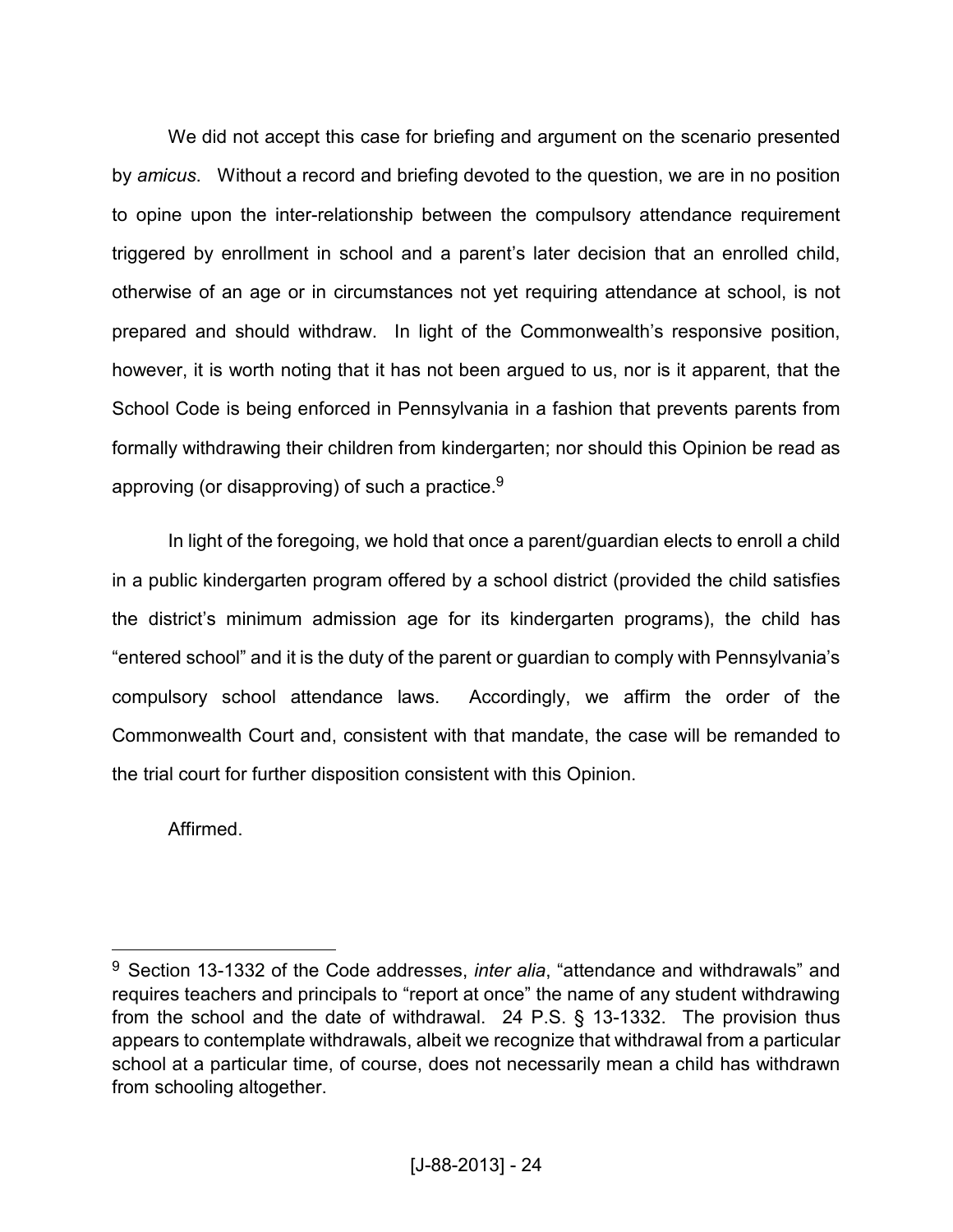We did not accept this case for briefing and argument on the scenario presented by *amicus*. Without a record and briefing devoted to the question, we are in no position to opine upon the inter-relationship between the compulsory attendance requirement triggered by enrollment in school and a parent's later decision that an enrolled child, otherwise of an age or in circumstances not yet requiring attendance at school, is not prepared and should withdraw. In light of the Commonwealth's responsive position, however, it is worth noting that it has not been argued to us, nor is it apparent, that the School Code is being enforced in Pennsylvania in a fashion that prevents parents from formally withdrawing their children from kindergarten; nor should this Opinion be read as approving (or disapproving) of such a practice. $9$ 

In light of the foregoing, we hold that once a parent/guardian elects to enroll a child in a public kindergarten program offered by a school district (provided the child satisfies the district's minimum admission age for its kindergarten programs), the child has "entered school" and it is the duty of the parent or guardian to comply with Pennsylvania's compulsory school attendance laws. Accordingly, we affirm the order of the Commonwealth Court and, consistent with that mandate, the case will be remanded to the trial court for further disposition consistent with this Opinion.

Affirmed.

<u>.</u>

<sup>9</sup> Section 13-1332 of the Code addresses, *inter alia*, "attendance and withdrawals" and requires teachers and principals to "report at once" the name of any student withdrawing from the school and the date of withdrawal. 24 P.S. § 13-1332. The provision thus appears to contemplate withdrawals, albeit we recognize that withdrawal from a particular school at a particular time, of course, does not necessarily mean a child has withdrawn from schooling altogether.